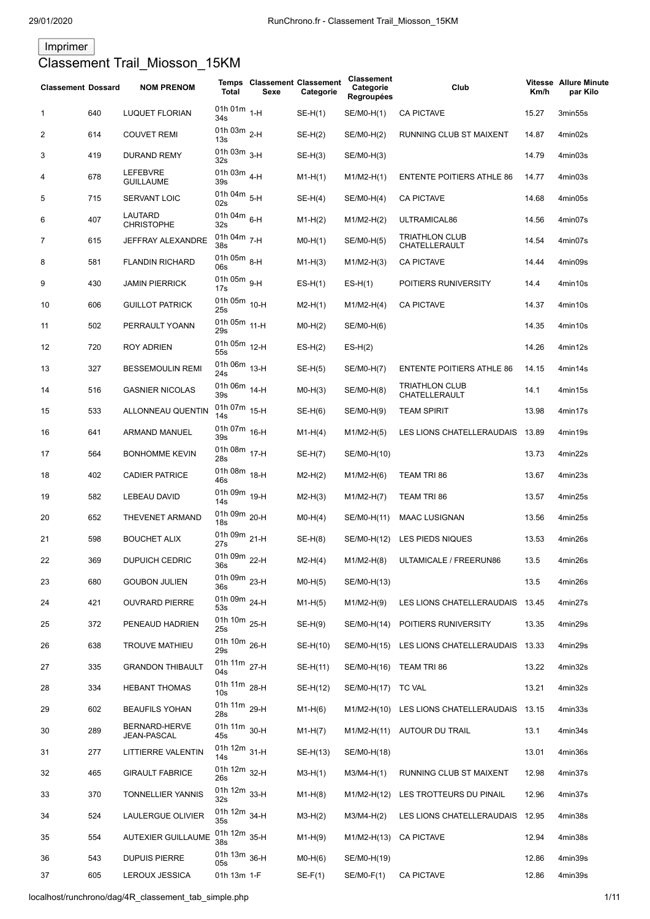# Imprimer Classement Trail\_Miosson\_15KM

| <b>Classement Dossard</b> |     | <b>NOM PRENOM</b>            | Total                           | <b>Temps Classement Classement</b><br>Sexe | Categorie  | Classement<br>Categorie<br><b>Regroupées</b> | Club                                        | Km/h  | <b>Vitesse Allure Minute</b><br>par Kilo |
|---------------------------|-----|------------------------------|---------------------------------|--------------------------------------------|------------|----------------------------------------------|---------------------------------------------|-------|------------------------------------------|
| 1                         | 640 | <b>LUQUET FLORIAN</b>        | 01h 01m $_{1-H}$<br>34s         |                                            | $SE-H(1)$  | SE/M0-H(1)                                   | <b>CA PICTAVE</b>                           | 15.27 | 3min55s                                  |
| 2                         | 614 | <b>COUVET REMI</b>           | 01h 03m $_{2-H}$<br>13s         |                                            | $SE-H(2)$  | SE/M0-H(2)                                   | RUNNING CLUB ST MAIXENT                     | 14.87 | 4min02s                                  |
| 3                         | 419 | <b>DURAND REMY</b>           | 01h 03m $_{3-H}$<br>32s         |                                            | $SE-H(3)$  | SE/M0-H(3)                                   |                                             | 14.79 | 4min03s                                  |
| 4                         | 678 | LEFEBVRE<br><b>GUILLAUME</b> | 01h 03m $_{4-H}$<br>39s         |                                            | $M1-H(1)$  | $M1/M2-H(1)$                                 | <b>ENTENTE POITIERS ATHLE 86</b>            | 14.77 | 4min03s                                  |
| 5                         | 715 | <b>SERVANT LOIC</b>          | 01h 04m $5-H$<br>02s            |                                            | $SE-H(4)$  | SE/M0-H(4)                                   | <b>CA PICTAVE</b>                           | 14.68 | 4min05s                                  |
| 6                         | 407 | LAUTARD<br><b>CHRISTOPHE</b> | 01h 04m $_{6-H}$<br>32s         |                                            | $M1-H(2)$  | $M1/M2-H(2)$                                 | ULTRAMICAL86                                | 14.56 | 4min07s                                  |
| 7                         | 615 | <b>JEFFRAY ALEXANDRE</b>     | 01h 04m 7-H<br>38s              |                                            | $MO-H(1)$  | SE/M0-H(5)                                   | <b>TRIATHLON CLUB</b><br>CHATELLERAULT      | 14.54 | 4min07s                                  |
| 8                         | 581 | <b>FLANDIN RICHARD</b>       | 01h 05m $_{8-H}$<br>06s         |                                            | $M1-H(3)$  | $M1/M2-H(3)$                                 | <b>CA PICTAVE</b>                           | 14.44 | 4min09s                                  |
| 9                         | 430 | <b>JAMIN PIERRICK</b>        | 01h 05m $_{9-H}$<br>17s         |                                            | $ES-H(1)$  | $ES-H(1)$                                    | POITIERS RUNIVERSITY                        | 14.4  | 4min10s                                  |
| 10                        | 606 | <b>GUILLOT PATRICK</b>       | 01h 05m 10-H<br>25s             |                                            | $M2-H(1)$  | $M1/M2-H(4)$                                 | <b>CA PICTAVE</b>                           | 14.37 | 4min10s                                  |
| 11                        | 502 | PERRAULT YOANN               | 01h 05m 11-H<br>29s             |                                            | $MO-H(2)$  | SE/M0-H(6)                                   |                                             | 14.35 | 4min10s                                  |
| 12                        | 720 | ROY ADRIEN                   | 01h 05m 12-H<br>55s             |                                            | $ES-H(2)$  | $ES-H(2)$                                    |                                             | 14.26 | 4min12s                                  |
| 13                        | 327 | <b>BESSEMOULIN REMI</b>      | 01h 06m 13-H<br>24s             |                                            | $SE-H(5)$  | SE/M0-H(7)                                   | <b>ENTENTE POITIERS ATHLE 86</b>            | 14.15 | 4min14s                                  |
| 14                        | 516 | <b>GASNIER NICOLAS</b>       | 01h 06m 14-H<br>39s             |                                            | $MO-H(3)$  | SE/M0-H(8)                                   | <b>TRIATHLON CLUB</b><br>CHATELLERAULT      | 14.1  | 4min15s                                  |
| 15                        | 533 | ALLONNEAU QUENTIN            | 01h 07m 15-H<br>14s             |                                            | $SE-H(6)$  | SE/M0-H(9)                                   | <b>TEAM SPIRIT</b>                          | 13.98 | 4min17s                                  |
| 16                        | 641 | ARMAND MANUEL                | 01h 07m 16-H<br>39s             |                                            | $M1-H(4)$  | $M1/M2-H(5)$                                 | LES LIONS CHATELLERAUDAIS                   | 13.89 | 4min19s                                  |
| 17                        | 564 | <b>BONHOMME KEVIN</b>        | 01h 08m 17-H<br>28s             |                                            | $SE-H(7)$  | SE/M0-H(10)                                  |                                             | 13.73 | 4min22s                                  |
| 18                        | 402 | <b>CADIER PATRICE</b>        | 01h 08m 18-H<br>46s             |                                            | $M2-H(2)$  | $M1/M2-H(6)$                                 | TEAM TRI 86                                 | 13.67 | 4min23s                                  |
| 19                        | 582 | LEBEAU DAVID                 | 01h 09m 19-H<br>14s             |                                            | $M2-H(3)$  | $M1/M2-H(7)$                                 | TEAM TRI 86                                 | 13.57 | 4min25s                                  |
| 20                        | 652 | THEVENET ARMAND              | 01h 09m 20-H<br>18 <sub>s</sub> |                                            | $MO-H(4)$  | SE/M0-H(11)                                  | <b>MAAC LUSIGNAN</b>                        | 13.56 | 4min25s                                  |
| 21                        | 598 | <b>BOUCHET ALIX</b>          | 01h 09m 21-H<br>27s             |                                            | $SE-H(8)$  | SE/M0-H(12)                                  | LES PIEDS NIQUES                            | 13.53 | 4min26s                                  |
| 22                        | 369 | <b>DUPUICH CEDRIC</b>        | 01h 09m 22-H<br>36s             |                                            | $M2-H(4)$  | $M1/M2-H(8)$                                 | ULTAMICALE / FREERUN86                      | 13.5  | 4min26s                                  |
| 23                        | 680 | <b>GOUBON JULIEN</b>         | 01h 09m 23-H<br>36s             |                                            | $MO-H(5)$  | SE/M0-H(13)                                  |                                             | 13.5  | 4min26s                                  |
| 24                        | 421 | <b>OUVRARD PIERRE</b>        | 01h 09m 24-H<br>53s             |                                            | $M1-H(5)$  | $M1/M2-H(9)$                                 | LES LIONS CHATELLERAUDAIS 13.45             |       | 4min27s                                  |
| 25                        | 372 | PENEAUD HADRIEN              | 01h 10m 25-H<br>25s             |                                            | $SE-H(9)$  | SE/M0-H(14)                                  | POITIERS RUNIVERSITY                        | 13.35 | 4min29s                                  |
| 26                        | 638 | <b>TROUVE MATHIEU</b>        | 01h 10m 26-H<br>29s             |                                            | SE-H(10)   | SE/M0-H(15)                                  | LES LIONS CHATELLERAUDAIS 13.33             |       | 4min29s                                  |
| 27                        | 335 | <b>GRANDON THIBAULT</b>      | 01h 11m 27-H<br>04s             |                                            | SE-H(11)   | SE/M0-H(16)                                  | TEAM TRI 86                                 | 13.22 | 4min32s                                  |
| 28                        | 334 | <b>HEBANT THOMAS</b>         | 01h 11m 28-H<br>10 <sub>s</sub> |                                            | SE-H(12)   | SE/M0-H(17)                                  | <b>TC VAL</b>                               | 13.21 | 4min32s                                  |
| 29                        | 602 | <b>BEAUFILS YOHAN</b>        | 01h 11m 29-H<br>28s             |                                            | $M1-H(6)$  |                                              | M1/M2-H(10) LES LIONS CHATELLERAUDAIS 13.15 |       | 4min33s                                  |
| 30                        | 289 | BERNARD-HERVE<br>JEAN-PASCAL | 01h 11m 30-H<br>45s             |                                            | $M1-H(7)$  | M1/M2-H(11)                                  | AUTOUR DU TRAIL                             | 13.1  | 4min34s                                  |
| 31                        | 277 | LITTIERRE VALENTIN           | 01h 12m 31-H<br>14s             |                                            | $SE-H(13)$ | SE/M0-H(18)                                  |                                             | 13.01 | 4min36s                                  |
| 32                        | 465 | <b>GIRAULT FABRICE</b>       | 01h 12m 32-H<br>26s             |                                            | $M3-H(1)$  | $M3/M4-H(1)$                                 | RUNNING CLUB ST MAIXENT                     | 12.98 | 4min37s                                  |
| 33                        | 370 | TONNELLIER YANNIS            | 01h 12m 33-H<br>32s             |                                            | $M1-H(8)$  | M1/M2-H(12)                                  | LES TROTTEURS DU PINAIL                     | 12.96 | 4min37s                                  |
| 34                        | 524 | LAULERGUE OLIVIER            | 01h 12m 34-H<br>35s             |                                            | $M3-H(2)$  | $M3/M4-H(2)$                                 | LES LIONS CHATELLERAUDAIS 12.95             |       | 4min38s                                  |
| 35                        | 554 | <b>AUTEXIER GUILLAUME</b>    | 01h 12m 35-H<br>38 <sub>s</sub> |                                            | $M1-H(9)$  | M1/M2-H(13)                                  | <b>CA PICTAVE</b>                           | 12.94 | 4min38s                                  |
| 36                        | 543 | <b>DUPUIS PIERRE</b>         | 01h 13m 36-H<br>05s             |                                            | $MO-H(6)$  | SE/M0-H(19)                                  |                                             | 12.86 | 4min39s                                  |
| 37                        | 605 | LEROUX JESSICA               | 01h 13m 1-F                     |                                            | $SE-F(1)$  | SE/M0-F(1)                                   | <b>CA PICTAVE</b>                           | 12.86 | 4min39s                                  |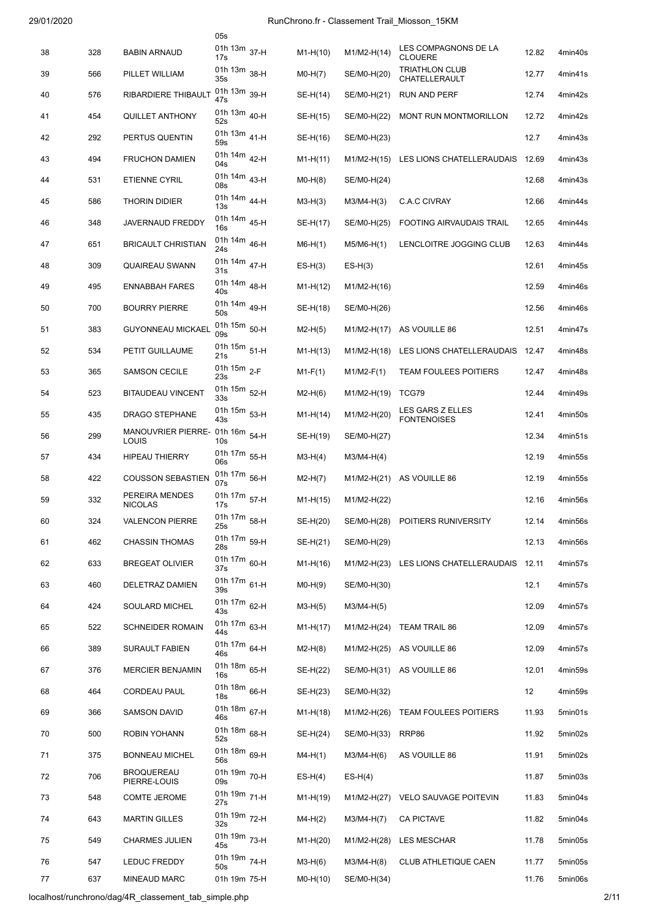|    |     |                                          | 05s                            |            |               |                                             |       |         |
|----|-----|------------------------------------------|--------------------------------|------------|---------------|---------------------------------------------|-------|---------|
| 38 | 328 | <b>BABIN ARNAUD</b>                      | 01h 13m 37-H<br>17s            | $M1-H(10)$ | M1/M2-H(14)   | LES COMPAGNONS DE LA<br><b>CLOUERE</b>      | 12.82 | 4min40s |
| 39 | 566 | PILLET WILLIAM                           | 01h 13m 38-H<br>35s            | $MO-H(7)$  | SE/M0-H(20)   | <b>TRIATHLON CLUB</b><br>CHATELLERAULT      | 12.77 | 4min41s |
| 40 | 576 | RIBARDIERE THIBAULT                      | 01h 13m 39-H<br>47s            | SE-H(14)   | SE/M0-H(21)   | <b>RUN AND PERF</b>                         | 12.74 | 4min42s |
| 41 | 454 | QUILLET ANTHONY                          | 01h 13m 40-H<br>52s            | SE-H(15)   | SE/M0-H(22)   | MONT RUN MONTMORILLON                       | 12.72 | 4min42s |
| 42 | 292 | PERTUS QUENTIN                           | 01h 13m 41-H<br>59s            | SE-H(16)   | SE/M0-H(23)   |                                             | 12.7  | 4min43s |
| 43 | 494 | <b>FRUCHON DAMIEN</b>                    | 01h 14m 42-H<br>04s            | $M1-H(11)$ | $M1/M2-H(15)$ | LES LIONS CHATELLERAUDAIS                   | 12.69 | 4min43s |
| 44 | 531 | <b>ETIENNE CYRIL</b>                     | 01h 14m 43-H<br>08s            | $MO-H(8)$  | SE/M0-H(24)   |                                             | 12.68 | 4min43s |
| 45 | 586 | <b>THORIN DIDIER</b>                     | 01h 14m 44-H<br>13s            | $M3-H(3)$  | $M3/M4-H(3)$  | <b>C.A.C CIVRAY</b>                         | 12.66 | 4min44s |
| 46 | 348 | <b>JAVERNAUD FREDDY</b>                  | 01h 14m 45-H<br>16s            | SE-H(17)   | SE/M0-H(25)   | FOOTING AIRVAUDAIS TRAIL                    | 12.65 | 4min44s |
| 47 | 651 | <b>BRICAULT CHRISTIAN</b>                | 01h 14m 46-H<br>24s            | $M6-H(1)$  | $M5/M6-H(1)$  | LENCLOITRE JOGGING CLUB                     | 12.63 | 4min44s |
| 48 | 309 | QUAIREAU SWANN                           | 01h 14m 47-H<br>31s            | $ES-H(3)$  | $ES-H(3)$     |                                             | 12.61 | 4min45s |
| 49 | 495 | <b>ENNABBAH FARES</b>                    | 01h 14m 48-H<br>40s            | $M1-H(12)$ | M1/M2-H(16)   |                                             | 12.59 | 4min46s |
| 50 | 700 | <b>BOURRY PIERRE</b>                     | 01h 14m <sub>49-H</sub><br>50s | SE-H(18)   | SE/M0-H(26)   |                                             | 12.56 | 4min46s |
| 51 | 383 | <b>GUYONNEAU MICKAEL</b>                 | 01h 15m 50-H<br>09s            | $M2-H(5)$  | M1/M2-H(17)   | AS VOUILLE 86                               | 12.51 | 4min47s |
| 52 | 534 | PETIT GUILLAUME                          | 01h 15m 51-H<br>21s            | $M1-H(13)$ | M1/M2-H(18)   | LES LIONS CHATELLERAUDAIS                   | 12.47 | 4min48s |
| 53 | 365 | <b>SAMSON CECILE</b>                     | 01h 15m $_{2-F}$<br>23s        | $M1-F(1)$  | $M1/M2-F(1)$  | <b>TEAM FOULEES POITIERS</b>                | 12.47 | 4min48s |
| 54 | 523 | <b>BITAUDEAU VINCENT</b>                 | 01h 15m 52-H<br>33s            | $M2-H(6)$  | M1/M2-H(19)   | TCG79                                       | 12.44 | 4min49s |
| 55 | 435 | <b>DRAGO STEPHANE</b>                    | 01h 15m 53-H<br>43s            | $M1-H(14)$ | M1/M2-H(20)   | LES GARS Z ELLES<br><b>FONTENOISES</b>      | 12.41 | 4min50s |
| 56 | 299 | MANOUVRIER PIERRE- 01h 16m 54-H<br>LOUIS | 10s                            | SE-H(19)   | SE/M0-H(27)   |                                             | 12.34 | 4min51s |
| 57 | 434 | <b>HIPEAU THIERRY</b>                    | 01h 17m 55-H<br>06s            | $M3-H(4)$  | $M3/M4-H(4)$  |                                             | 12.19 | 4min55s |
| 58 | 422 | <b>COUSSON SEBASTIEN</b>                 | 01h 17m 56-H<br>07s            | $M2-H(7)$  | M1/M2-H(21)   | AS VOUILLE 86                               | 12.19 | 4min55s |
| 59 | 332 | PEREIRA MENDES<br><b>NICOLAS</b>         | 01h 17m 57-H<br>17s            | $M1-H(15)$ | M1/M2-H(22)   |                                             | 12.16 | 4min56s |
| 60 | 324 | <b>VALENCON PIERRE</b>                   | 01h 17m 58-H<br>25s            | SE-H(20)   |               | SE/M0-H(28) POITIERS RUNIVERSITY            | 12.14 | 4min56s |
| 61 | 462 | <b>CHASSIN THOMAS</b>                    | 01h 17m 59-H<br>28s            | SE-H(21)   | SE/M0-H(29)   |                                             | 12.13 | 4min56s |
| 62 | 633 | <b>BREGEAT OLIVIER</b>                   | 01h 17m 60-H<br>37s            | $M1-H(16)$ |               | M1/M2-H(23) LES LIONS CHATELLERAUDAIS 12.11 |       | 4min57s |
| 63 | 460 | DELETRAZ DAMIEN                          | 01h 17m 61-H<br>39s            | $MO-H(9)$  | SE/M0-H(30)   |                                             | 12.1  | 4min57s |
| 64 | 424 | SOULARD MICHEL                           | 01h 17m 62-H<br>43s            | $M3-H(5)$  | $M3/M4-H(5)$  |                                             | 12.09 | 4min57s |
| 65 | 522 | <b>SCHNEIDER ROMAIN</b>                  | 01h 17m 63-H<br>44s            | $M1-H(17)$ | M1/M2-H(24)   | TEAM TRAIL 86                               | 12.09 | 4min57s |
| 66 | 389 | SURAULT FABIEN                           | 01h 17m 64-H<br>46s            | $M2-H(8)$  |               | M1/M2-H(25) AS VOUILLE 86                   | 12.09 | 4min57s |
| 67 | 376 | <b>MERCIER BENJAMIN</b>                  | 01h 18m 65-H<br>16s            | SE-H(22)   |               | SE/M0-H(31) AS VOUILLE 86                   | 12.01 | 4min59s |
| 68 | 464 | <b>CORDEAU PAUL</b>                      | 01h 18m 66-H<br>18s            | SE-H(23)   | SE/M0-H(32)   |                                             | 12    | 4min59s |
| 69 | 366 | SAMSON DAVID                             | 01h 18m 67-H<br>46s            | $M1-H(18)$ | M1/M2-H(26)   | <b>TEAM FOULEES POITIERS</b>                | 11.93 | 5min01s |
| 70 | 500 | ROBIN YOHANN                             | 01h 18m 68-H<br>52s            | SE-H(24)   | SE/M0-H(33)   | RRP86                                       | 11.92 | 5min02s |
| 71 | 375 | <b>BONNEAU MICHEL</b>                    | 01h 18m 69-H<br>56s            | $M4-H(1)$  | $M3/M4-H(6)$  | AS VOUILLE 86                               | 11.91 | 5min02s |
| 72 | 706 | <b>BROQUEREAU</b><br>PIERRE-LOUIS        | 01h 19m 70-H<br>09s            | $ES-H(4)$  | $ES-H(4)$     |                                             | 11.87 | 5min03s |
| 73 | 548 | <b>COMTE JEROME</b>                      | 01h 19m 71-H<br>27s            | $M1-H(19)$ | M1/M2-H(27)   | <b>VELO SAUVAGE POITEVIN</b>                | 11.83 | 5min04s |
| 74 | 643 | <b>MARTIN GILLES</b>                     | 01h 19m 72-H<br>32s            | $M4-H(2)$  | $M3/M4-H(7)$  | <b>CA PICTAVE</b>                           | 11.82 | 5min04s |
| 75 | 549 | <b>CHARMES JULIEN</b>                    | 01h 19m 73-H<br>45s            | $M1-H(20)$ | M1/M2-H(28)   | LES MESCHAR                                 | 11.78 | 5min05s |
| 76 | 547 | LEDUC FREDDY                             | 01h 19m 74-H<br>50s            | $M3-H(6)$  | $M3/M4-H(8)$  | CLUB ATHLETIQUE CAEN                        | 11.77 | 5min05s |
| 77 | 637 | <b>MINEAUD MARC</b>                      | 01h 19m 75-H                   | $MO-H(10)$ | SE/M0-H(34)   |                                             | 11.76 | 5min06s |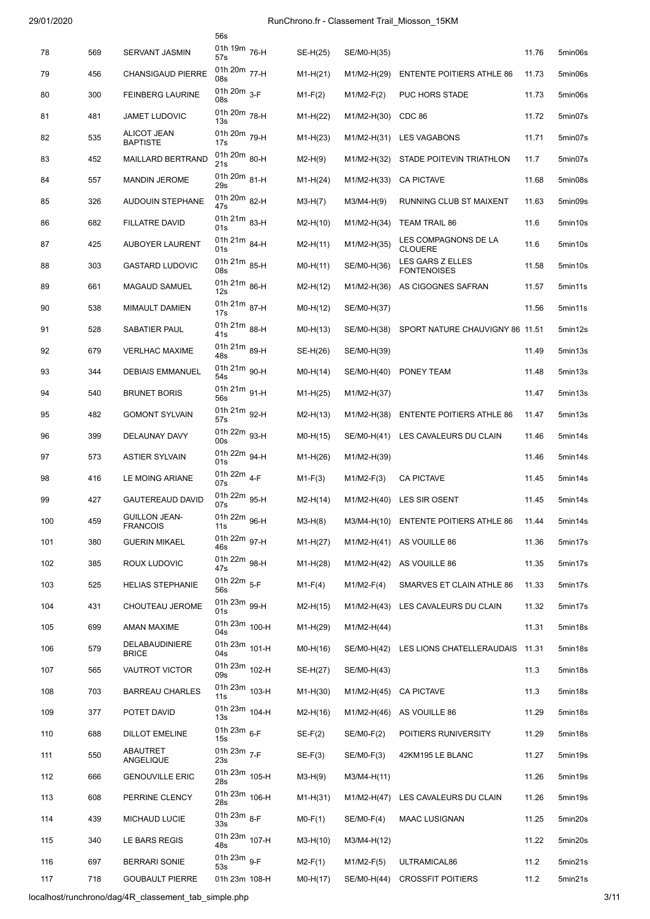|     |     |                                         | 56s                             |            |                        |                                             |       |         |
|-----|-----|-----------------------------------------|---------------------------------|------------|------------------------|---------------------------------------------|-------|---------|
| 78  | 569 | <b>SERVANT JASMIN</b>                   | 01h 19m 76-H<br>57s             | SE-H(25)   | SE/M0-H(35)            |                                             | 11.76 | 5min06s |
| 79  | 456 | <b>CHANSIGAUD PIERRE</b>                | 01h 20m 77-H<br>08s             | $M1-H(21)$ | M1/M2-H(29)            | <b>ENTENTE POITIERS ATHLE 86</b>            | 11.73 | 5min06s |
| 80  | 300 | <b>FEINBERG LAURINE</b>                 | 01h $20m$ <sub>3-F</sub><br>08s | $M1-F(2)$  | $M1/M2-F(2)$           | PUC HORS STADE                              | 11.73 | 5min06s |
| 81  | 481 | <b>JAMET LUDOVIC</b>                    | 01h 20m 78-H<br>13s             | $M1-H(22)$ | M1/M2-H(30)            | CDC 86                                      | 11.72 | 5min07s |
| 82  | 535 | <b>ALICOT JEAN</b><br><b>BAPTISTE</b>   | 01h 20m 79-H<br>17s             | $M1-H(23)$ | M1/M2-H(31)            | <b>LES VAGABONS</b>                         | 11.71 | 5min07s |
| 83  | 452 | <b>MAILLARD BERTRAND</b>                | 01h 20m 80-H<br>21s             | $M2-H(9)$  | M1/M2-H(32)            | STADE POITEVIN TRIATHLON                    | 11.7  | 5min07s |
| 84  | 557 | <b>MANDIN JEROME</b>                    | 01h 20m 81-H<br>29s             | $M1-H(24)$ | M1/M2-H(33)            | <b>CA PICTAVE</b>                           | 11.68 | 5min08s |
| 85  | 326 | <b>AUDOUIN STEPHANE</b>                 | 01h 20m 82-H<br>47s             | $M3-H(7)$  | M3/M4-H(9)             | RUNNING CLUB ST MAIXENT                     | 11.63 | 5min09s |
| 86  | 682 | <b>FILLATRE DAVID</b>                   | 01h 21m 83-H<br>01s             | $M2-H(10)$ | M1/M2-H(34)            | <b>TEAM TRAIL 86</b>                        | 11.6  | 5min10s |
| 87  | 425 | <b>AUBOYER LAURENT</b>                  | 01h 21m 84-H<br>01s             | $M2-H(11)$ | M1/M2-H(35)            | LES COMPAGNONS DE LA<br><b>CLOUERE</b>      | 11.6  | 5min10s |
| 88  | 303 | <b>GASTARD LUDOVIC</b>                  | 01h 21m 85-H<br>08s             | $MO-H(11)$ | SE/M0-H(36)            | LES GARS Z ELLES<br><b>FONTENOISES</b>      | 11.58 | 5min10s |
| 89  | 661 | MAGAUD SAMUEL                           | 01h 21m 86-H<br>12s             | $M2-H(12)$ | M1/M2-H(36)            | AS CIGOGNES SAFRAN                          | 11.57 | 5min11s |
| 90  | 538 | <b>MIMAULT DAMIEN</b>                   | 01h 21m 87-H<br>17s             | $MO-H(12)$ | SE/M0-H(37)            |                                             | 11.56 | 5min11s |
| 91  | 528 | SABATIER PAUL                           | 01h 21m 88-H<br>41s             | $MO-H(13)$ | SE/M0-H(38)            | SPORT NATURE CHAUVIGNY 86 11.51             |       | 5min12s |
| 92  | 679 | <b>VERLHAC MAXIME</b>                   | 01h 21m 89-H<br>48s             | SE-H(26)   | SE/M0-H(39)            |                                             | 11.49 | 5min13s |
| 93  | 344 | <b>DEBIAIS EMMANUEL</b>                 | 01h 21m 90-H<br>54s             | $MO-H(14)$ | SE/M0-H(40)            | PONEY TEAM                                  | 11.48 | 5min13s |
| 94  | 540 | <b>BRUNET BORIS</b>                     | 01h 21m 91-H<br>56s             | $M1-H(25)$ | M1/M2-H(37)            |                                             | 11.47 | 5min13s |
| 95  | 482 | <b>GOMONT SYLVAIN</b>                   | 01h 21m 92-H<br>57s             | $M2-H(13)$ | M1/M2-H(38)            | <b>ENTENTE POITIERS ATHLE 86</b>            | 11.47 | 5min13s |
| 96  | 399 | DELAUNAY DAVY                           | 01h 22m 93-H<br>00s             | $MO-H(15)$ | SE/M0-H(41)            | LES CAVALEURS DU CLAIN                      | 11.46 | 5min14s |
| 97  | 573 | <b>ASTIER SYLVAIN</b>                   | 01h 22m 94-H<br>01s             | $M1-H(26)$ | M1/M2-H(39)            |                                             | 11.46 | 5min14s |
| 98  | 416 | LE MOING ARIANE                         | 01h 22m $_{4-F}$<br>07s         | $M1-F(3)$  | $M1/M2-F(3)$           | <b>CA PICTAVE</b>                           | 11.45 | 5min14s |
| 99  | 427 | <b>GAUTEREAUD DAVID</b>                 | 01h 22m 95-H<br>07s             | $M2-H(14)$ | M1/M2-H(40)            | LES SIR OSENT                               | 11.45 | 5min14s |
| 100 | 459 | <b>GUILLON JEAN-</b><br><b>FRANCOIS</b> | 01h 22m $_{96-H}$<br>11s        | $M3-H(8)$  |                        | M3/M4-H(10) ENTENTE POITIERS ATHLE 86       | 11.44 | 5min14s |
| 101 | 380 | <b>GUERIN MIKAEL</b>                    | 01h 22m 97-H<br>46s             | $M1-H(27)$ |                        | M1/M2-H(41) AS VOUILLE 86                   | 11.36 | 5min17s |
| 102 | 385 | ROUX LUDOVIC                            | 01h 22m 98-H<br>47s             | $M1-H(28)$ |                        | M1/M2-H(42) AS VOUILLE 86                   | 11.35 | 5min17s |
| 103 | 525 | <b>HELIAS STEPHANIE</b>                 | 01h $22m$ <sub>5-F</sub><br>56s | $M1-F(4)$  | $M1/M2-F(4)$           | SMARVES ET CLAIN ATHLE 86                   | 11.33 | 5min17s |
| 104 | 431 | CHOUTEAU JEROME                         | 01h 23m 99-H<br>01s             | $M2-H(15)$ |                        | M1/M2-H(43) LES CAVALEURS DU CLAIN          | 11.32 | 5min17s |
| 105 | 699 | AMAN MAXIME                             | 01h 23m 100-H<br>04s            | $M1-H(29)$ | $M1/M2-H(44)$          |                                             | 11.31 | 5min18s |
| 106 | 579 | DELABAUDINIERE<br><b>BRICE</b>          | 01h 23m 101-H<br>04s            | $MO-H(16)$ |                        | SE/M0-H(42) LES LIONS CHATELLERAUDAIS 11.31 |       | 5min18s |
| 107 | 565 | <b>VAUTROT VICTOR</b>                   | 01h 23m 102-H<br>09s            | SE-H(27)   | SE/M0-H(43)            |                                             | 11.3  | 5min18s |
| 108 | 703 | <b>BARREAU CHARLES</b>                  | 01h 23m 103-H<br>11s            | $M1-H(30)$ | M1/M2-H(45) CA PICTAVE |                                             | 11.3  | 5min18s |
| 109 | 377 | POTET DAVID                             | 01h 23m 104-H<br>13s            | $M2-H(16)$ |                        | M1/M2-H(46) AS VOUILLE 86                   | 11.29 | 5min18s |
| 110 | 688 | <b>DILLOT EMELINE</b>                   | 01h $23m_{6-F}$<br>15s          | $SE-F(2)$  | $SE/M0-F(2)$           | POITIERS RUNIVERSITY                        | 11.29 | 5min18s |
| 111 | 550 | ABAUTRET<br>ANGELIQUE                   | 01h $23m$ $7-F$<br>23s          | $SE-F(3)$  | $SE/M0-F(3)$           | 42KM195 LE BLANC                            | 11.27 | 5min19s |
| 112 | 666 | <b>GENOUVILLE ERIC</b>                  | 01h 23m 105-H<br>28s            | $M3-H(9)$  | M3/M4-H(11)            |                                             | 11.26 | 5min19s |
| 113 | 608 | PERRINE CLENCY                          | 01h 23m 106-H<br>28s            | $M1-H(31)$ | M1/M2-H(47)            | LES CAVALEURS DU CLAIN                      | 11.26 | 5min19s |
| 114 | 439 | <b>MICHAUD LUCIE</b>                    | 01h $23m_{8-F}$<br>33s          | $MO-F(1)$  | $SE/M0-F(4)$           | <b>MAAC LUSIGNAN</b>                        | 11.25 | 5min20s |
| 115 | 340 | LE BARS REGIS                           | 01h 23m 107-H<br>48s            | $M3-H(10)$ | M3/M4-H(12)            |                                             | 11.22 | 5min20s |
| 116 | 697 | <b>BERRARI SONIE</b>                    | 01h $23m$ $9-F$<br>53s          | $M2-F(1)$  | $M1/M2-F(5)$           | ULTRAMICAL86                                | 11.2  | 5min21s |
| 117 | 718 | <b>GOUBAULT PIERRE</b>                  | 01h 23m 108-H                   | $MO-H(17)$ | SE/M0-H(44)            | <b>CROSSFIT POITIERS</b>                    | 11.2  | 5min21s |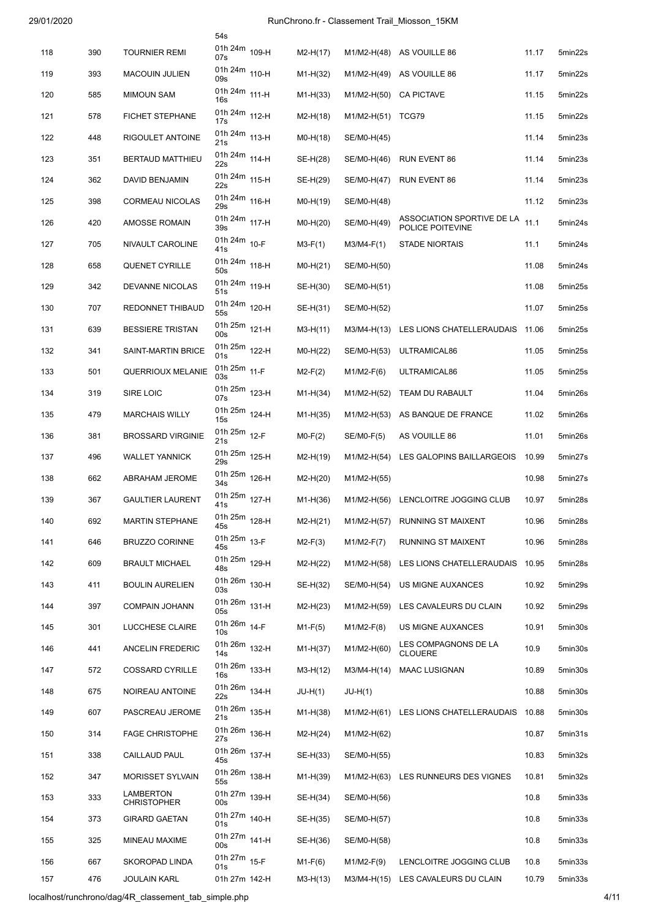|     |     |                                 | 54s                              |            |              |                                                |       |         |
|-----|-----|---------------------------------|----------------------------------|------------|--------------|------------------------------------------------|-------|---------|
| 118 | 390 | <b>TOURNIER REMI</b>            | 01h 24m 109-H<br>07s             | $M2-H(17)$ |              | M1/M2-H(48) AS VOUILLE 86                      | 11.17 | 5min22s |
| 119 | 393 | <b>MACOUIN JULIEN</b>           | 01h 24m 110-H<br>09s             | $M1-H(32)$ | M1/M2-H(49)  | AS VOUILLE 86                                  | 11.17 | 5min22s |
| 120 | 585 | <b>MIMOUN SAM</b>               | 01h 24m 111-H<br>16s             | $M1-H(33)$ | M1/M2-H(50)  | <b>CA PICTAVE</b>                              | 11.15 | 5min22s |
| 121 | 578 | FICHET STEPHANE                 | 01h 24m 112-H<br>17s             | $M2-H(18)$ | M1/M2-H(51)  | TCG79                                          | 11.15 | 5min22s |
| 122 | 448 | RIGOULET ANTOINE                | 01h 24m 113-H<br>21s             | $MO-H(18)$ | SE/M0-H(45)  |                                                | 11.14 | 5min23s |
| 123 | 351 | <b>BERTAUD MATTHIEU</b>         | 01h 24m 114-H<br>22s             | SE-H(28)   | SE/M0-H(46)  | <b>RUN EVENT 86</b>                            | 11.14 | 5min23s |
| 124 | 362 | DAVID BENJAMIN                  | 01h 24m 115-H<br>22s             | SE-H(29)   | SE/M0-H(47)  | RUN EVENT 86                                   | 11.14 | 5min23s |
| 125 | 398 | <b>CORMEAU NICOLAS</b>          | 01h 24m 116-H<br>29s             | $MO-H(19)$ | SE/M0-H(48)  |                                                | 11.12 | 5min23s |
| 126 | 420 | <b>AMOSSE ROMAIN</b>            | 01h 24m 117-H<br>39s             | $MO-H(20)$ | SE/M0-H(49)  | ASSOCIATION SPORTIVE DE LA<br>POLICE POITEVINE | 11.1  | 5min24s |
| 127 | 705 | NIVAULT CAROLINE                | 01h 24m 10-F<br>41s              | $M3-F(1)$  | $M3/M4-F(1)$ | STADE NIORTAIS                                 | 11.1  | 5min24s |
| 128 | 658 | QUENET CYRILLE                  | 01h 24m 118-H<br>50s             | $MO-H(21)$ | SE/M0-H(50)  |                                                | 11.08 | 5min24s |
| 129 | 342 | DEVANNE NICOLAS                 | 01h 24m 119-H<br>51s             | SE-H(30)   | SE/M0-H(51)  |                                                | 11.08 | 5min25s |
| 130 | 707 | REDONNET THIBAUD                | 01h 24m 120-H<br>55s             | SE-H(31)   | SE/M0-H(52)  |                                                | 11.07 | 5min25s |
| 131 | 639 | <b>BESSIERE TRISTAN</b>         | 01h 25m 121-H<br>00s             | $M3-H(11)$ | M3/M4-H(13)  | LES LIONS CHATELLERAUDAIS                      | 11.06 | 5min25s |
| 132 | 341 | SAINT-MARTIN BRICE              | 01h 25m 122-H<br>01s             | $MO-H(22)$ | SE/M0-H(53)  | ULTRAMICAL86                                   | 11.05 | 5min25s |
| 133 | 501 | <b>QUERRIOUX MELANIE</b>        | 01h 25m 11-F<br>03s              | $M2-F(2)$  | $M1/M2-F(6)$ | ULTRAMICAL86                                   | 11.05 | 5min25s |
| 134 | 319 | SIRE LOIC                       | 01h 25m 123-H<br>07s             | $M1-H(34)$ | M1/M2-H(52)  | TEAM DU RABAULT                                | 11.04 | 5min26s |
| 135 | 479 | <b>MARCHAIS WILLY</b>           | 01h 25m 124-H<br>15s             | $M1-H(35)$ | M1/M2-H(53)  | AS BANQUE DE FRANCE                            | 11.02 | 5min26s |
| 136 | 381 | <b>BROSSARD VIRGINIE</b>        | 01h 25m 12-F<br>21s              | $MO-F(2)$  | SE/M0-F(5)   | AS VOUILLE 86                                  | 11.01 | 5min26s |
| 137 | 496 | <b>WALLET YANNICK</b>           | 01h 25m 125-H<br>29s             | $M2-H(19)$ | M1/M2-H(54)  | LES GALOPINS BAILLARGEOIS                      | 10.99 | 5min27s |
| 138 | 662 | <b>ABRAHAM JEROME</b>           | 01h 25m 126-H<br>34 <sub>s</sub> | $M2-H(20)$ | M1/M2-H(55)  |                                                | 10.98 | 5min27s |
| 139 | 367 | <b>GAULTIER LAURENT</b>         | 01h 25m 127-H<br>41s             | $M1-H(36)$ | M1/M2-H(56)  | LENCLOITRE JOGGING CLUB                        | 10.97 | 5min28s |
| 140 | 692 | <b>MARTIN STEPHANE</b>          | 01h 25m 128-H<br>45s             | $M2-H(21)$ |              | M1/M2-H(57) RUNNING ST MAIXENT                 | 10.96 | 5min28s |
| 141 | 646 | <b>BRUZZO CORINNE</b>           | 01h 25m 13-F<br>45s              | $M2-F(3)$  | $M1/M2-F(7)$ | RUNNING ST MAIXENT                             | 10.96 | 5min28s |
| 142 | 609 | <b>BRAULT MICHAEL</b>           | 01h 25m 129-H<br>48s             | $M2-H(22)$ | M1/M2-H(58)  | LES LIONS CHATELLERAUDAIS                      | 10.95 | 5min28s |
| 143 | 411 | <b>BOULIN AURELIEN</b>          | 01h 26m 130-H<br>03s             | SE-H(32)   | SE/M0-H(54)  | US MIGNE AUXANCES                              | 10.92 | 5min29s |
| 144 | 397 | <b>COMPAIN JOHANN</b>           | 01h 26m 131-H<br>05s             | $M2-H(23)$ | M1/M2-H(59)  | LES CAVALEURS DU CLAIN                         | 10.92 | 5min29s |
| 145 | 301 | LUCCHESE CLAIRE                 | 01h 26m 14-F<br>10 <sub>s</sub>  | $M1-F(5)$  | $M1/M2-F(8)$ | US MIGNE AUXANCES                              | 10.91 | 5min30s |
| 146 | 441 | <b>ANCELIN FREDERIC</b>         | 01h 26m 132-H<br>14s             | $M1-H(37)$ | M1/M2-H(60)  | LES COMPAGNONS DE LA<br><b>CLOUERE</b>         | 10.9  | 5min30s |
| 147 | 572 | <b>COSSARD CYRILLE</b>          | 01h 26m 133-H<br>16 <sub>s</sub> | $M3-H(12)$ | M3/M4-H(14)  | <b>MAAC LUSIGNAN</b>                           | 10.89 | 5min30s |
| 148 | 675 | NOIREAU ANTOINE                 | 01h 26m 134-H<br>22s             | JU-H(1)    | $JU-H(1)$    |                                                | 10.88 | 5min30s |
| 149 | 607 | PASCREAU JEROME                 | 01h 26m 135-H<br>21s             | $M1-H(38)$ |              | M1/M2-H(61) LES LIONS CHATELLERAUDAIS 10.88    |       | 5min30s |
| 150 | 314 | <b>FAGE CHRISTOPHE</b>          | 01h 26m 136-H<br>27s             | $M2-H(24)$ | M1/M2-H(62)  |                                                | 10.87 | 5min31s |
| 151 | 338 | CAILLAUD PAUL                   | 01h 26m 137-H<br>45s             | SE-H(33)   | SE/M0-H(55)  |                                                | 10.83 | 5min32s |
| 152 | 347 | <b>MORISSET SYLVAIN</b>         | 01h 26m 138-H<br>55s             | $M1-H(39)$ | M1/M2-H(63)  | LES RUNNEURS DES VIGNES                        | 10.81 | 5min32s |
| 153 | 333 | LAMBERTON<br><b>CHRISTOPHER</b> | 01h 27m 139-H<br>00s             | SE-H(34)   | SE/M0-H(56)  |                                                | 10.8  | 5min33s |
| 154 | 373 | <b>GIRARD GAETAN</b>            | 01h 27m 140-H<br>01s             | SE-H(35)   | SE/M0-H(57)  |                                                | 10.8  | 5min33s |
| 155 | 325 | MINEAU MAXIME                   | 01h 27m 141-H<br>00s             | SE-H(36)   | SE/M0-H(58)  |                                                | 10.8  | 5min33s |
| 156 | 667 | SKOROPAD LINDA                  | 01h 27m 15-F<br>01s              | $M1-F(6)$  | $M1/M2-F(9)$ | LENCLOITRE JOGGING CLUB                        | 10.8  | 5min33s |
| 157 | 476 | <b>JOULAIN KARL</b>             | 01h 27m 142-H                    | $M3-H(13)$ | M3/M4-H(15)  | LES CAVALEURS DU CLAIN                         | 10.79 | 5min33s |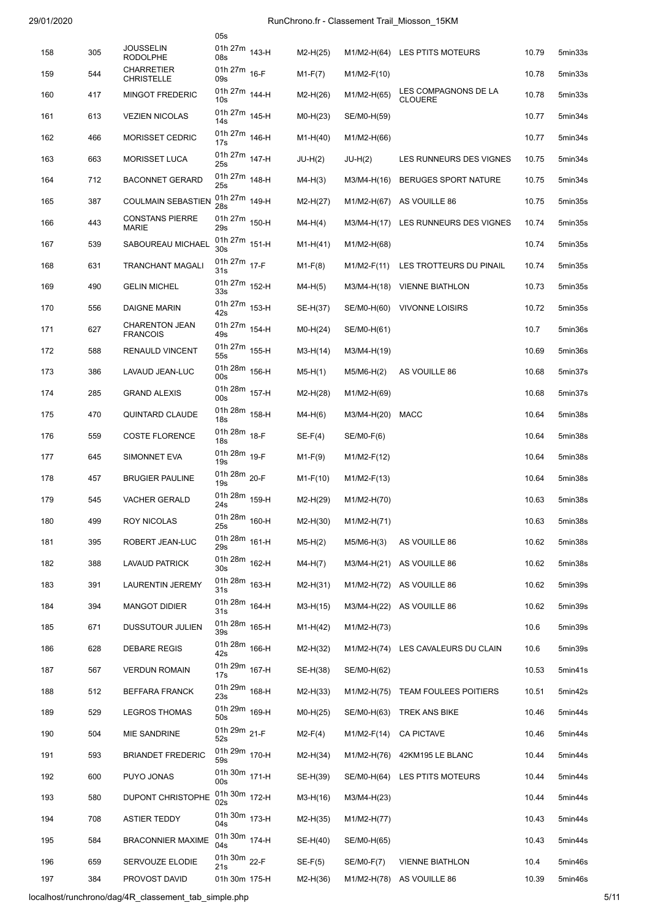|     |     |                                          | 05s                              |            |               |                                        |       |         |
|-----|-----|------------------------------------------|----------------------------------|------------|---------------|----------------------------------------|-------|---------|
| 158 | 305 | <b>JOUSSELIN</b><br><b>RODOLPHE</b>      | 01h 27m 143-H<br>08s             | $M2-H(25)$ |               | M1/M2-H(64) LES PTITS MOTEURS          | 10.79 | 5min33s |
| 159 | 544 | <b>CHARRETIER</b><br><b>CHRISTELLE</b>   | 01h 27m 16-F<br>09s              | $M1-F(7)$  | $M1/M2-F(10)$ |                                        | 10.78 | 5min33s |
| 160 | 417 | <b>MINGOT FREDERIC</b>                   | 01h 27m 144-H<br>10 <sub>s</sub> | $M2-H(26)$ | M1/M2-H(65)   | LES COMPAGNONS DE LA<br><b>CLOUERE</b> | 10.78 | 5min33s |
| 161 | 613 | <b>VEZIEN NICOLAS</b>                    | 01h 27m 145-H<br>14s             | $MO-H(23)$ | SE/M0-H(59)   |                                        | 10.77 | 5min34s |
| 162 | 466 | <b>MORISSET CEDRIC</b>                   | 01h 27m 146-H<br>17s             | $M1-H(40)$ | M1/M2-H(66)   |                                        | 10.77 | 5min34s |
| 163 | 663 | <b>MORISSET LUCA</b>                     | 01h 27m 147-H<br>25s             | JU-H(2)    | $JU-H(2)$     | LES RUNNEURS DES VIGNES                | 10.75 | 5min34s |
| 164 | 712 | <b>BACONNET GERARD</b>                   | 01h 27m 148-H<br>25s             | $M4-H(3)$  | M3/M4-H(16)   | <b>BERUGES SPORT NATURE</b>            | 10.75 | 5min34s |
| 165 | 387 | <b>COULMAIN SEBASTIEN</b>                | 01h 27m 149-H<br>28s             | $M2-H(27)$ | M1/M2-H(67)   | AS VOUILLE 86                          | 10.75 | 5min35s |
| 166 | 443 | <b>CONSTANS PIERRE</b><br><b>MARIE</b>   | 01h 27m 150-H<br>29s             | $M4-H(4)$  | M3/M4-H(17)   | LES RUNNEURS DES VIGNES                | 10.74 | 5min35s |
| 167 | 539 | <b>SABOUREAU MICHAEL</b>                 | 01h 27m 151-H<br>30s             | $M1-H(41)$ | M1/M2-H(68)   |                                        | 10.74 | 5min35s |
| 168 | 631 | <b>TRANCHANT MAGALI</b>                  | 01h 27m 17-F<br>31s              | $M1-F(8)$  | $M1/M2-F(11)$ | LES TROTTEURS DU PINAIL                | 10.74 | 5min35s |
| 169 | 490 | <b>GELIN MICHEL</b>                      | 01h 27m 152-H<br>33s             | $M4-H(5)$  | M3/M4-H(18)   | <b>VIENNE BIATHLON</b>                 | 10.73 | 5min35s |
| 170 | 556 | DAIGNE MARIN                             | 01h 27m 153-H<br>42s             | SE-H(37)   | SE/M0-H(60)   | <b>VIVONNE LOISIRS</b>                 | 10.72 | 5min35s |
| 171 | 627 | <b>CHARENTON JEAN</b><br><b>FRANCOIS</b> | 01h 27m 154-H<br>49s             | $MO-H(24)$ | SE/M0-H(61)   |                                        | 10.7  | 5min36s |
| 172 | 588 | RENAULD VINCENT                          | 01h 27m 155-H<br>55s             | $M3-H(14)$ | M3/M4-H(19)   |                                        | 10.69 | 5min36s |
| 173 | 386 | LAVAUD JEAN-LUC                          | 01h 28m 156-H<br>00s             | $M5-H(1)$  | $M5/M6-H(2)$  | AS VOUILLE 86                          | 10.68 | 5min37s |
| 174 | 285 | <b>GRAND ALEXIS</b>                      | 01h 28m 157-H<br>00s             | $M2-H(28)$ | M1/M2-H(69)   |                                        | 10.68 | 5min37s |
| 175 | 470 | QUINTARD CLAUDE                          | 01h 28m 158-H<br>18 <sub>s</sub> | $M4-H(6)$  | M3/M4-H(20)   | MACC                                   | 10.64 | 5min38s |
| 176 | 559 | <b>COSTE FLORENCE</b>                    | 01h 28m 18-F<br>18s              | $SE-F(4)$  | SE/M0-F(6)    |                                        | 10.64 | 5min38s |
| 177 | 645 | <b>SIMONNET EVA</b>                      | 01h 28m 19-F<br>19s              | $M1-F(9)$  | M1/M2-F(12)   |                                        | 10.64 | 5min38s |
| 178 | 457 | <b>BRUGIER PAULINE</b>                   | 01h 28m 20-F<br>19s              | $M1-F(10)$ | M1/M2-F(13)   |                                        | 10.64 | 5min38s |
| 179 | 545 | <b>VACHER GERALD</b>                     | 01h 28m 159-H<br>24s             | $M2-H(29)$ | M1/M2-H(70)   |                                        | 10.63 | 5min38s |
| 180 | 499 | ROY NICOLAS                              | 01h 28m 160-H<br>25s             | $M2-H(30)$ | M1/M2-H(71)   |                                        | 10.63 | 5min38s |
| 181 | 395 | ROBERT JEAN-LUC                          | 01h 28m 161-H<br>29s             | $M5-H(2)$  | $M5/M6-H(3)$  | AS VOUILLE 86                          | 10.62 | 5min38s |
| 182 | 388 | <b>LAVAUD PATRICK</b>                    | 01h 28m 162-H<br>30 <sub>s</sub> | $M4-H(7)$  | M3/M4-H(21)   | AS VOUILLE 86                          | 10.62 | 5min38s |
| 183 | 391 | <b>LAURENTIN JEREMY</b>                  | 01h 28m 163-H<br>31s             | $M2-H(31)$ | M1/M2-H(72)   | AS VOUILLE 86                          | 10.62 | 5min39s |
| 184 | 394 | <b>MANGOT DIDIER</b>                     | 01h 28m 164-H<br>31s             | $M3-H(15)$ | M3/M4-H(22)   | AS VOUILLE 86                          | 10.62 | 5min39s |
| 185 | 671 | DUSSUTOUR JULIEN                         | 01h 28m 165-H<br>39s             | $M1-H(42)$ | M1/M2-H(73)   |                                        | 10.6  | 5min39s |
| 186 | 628 | <b>DEBARE REGIS</b>                      | 01h 28m 166-H<br>42s             | $M2-H(32)$ |               | M1/M2-H(74) LES CAVALEURS DU CLAIN     | 10.6  | 5min39s |
| 187 | 567 | <b>VERDUN ROMAIN</b>                     | 01h 29m 167-H<br>17s             | SE-H(38)   | SE/M0-H(62)   |                                        | 10.53 | 5min41s |
| 188 | 512 | BEFFARA FRANCK                           | 01h 29m 168-H<br>23s             | $M2-H(33)$ | M1/M2-H(75)   | TEAM FOULEES POITIERS                  | 10.51 | 5min42s |
| 189 | 529 | <b>LEGROS THOMAS</b>                     | 01h 29m 169-H<br>50s             | $MO-H(25)$ | SE/M0-H(63)   | <b>TREK ANS BIKE</b>                   | 10.46 | 5min44s |
| 190 | 504 | MIE SANDRINE                             | 01h 29m 21-F<br>52s              | $M2-F(4)$  | M1/M2-F(14)   | <b>CA PICTAVE</b>                      | 10.46 | 5min44s |
| 191 | 593 | <b>BRIANDET FREDERIC</b>                 | 01h 29m 170-H<br>59s             | $M2-H(34)$ | M1/M2-H(76)   | 42KM195 LE BLANC                       | 10.44 | 5min44s |
| 192 | 600 | PUYO JONAS                               | 01h 30m 171-H<br>00s             | SE-H(39)   | SE/M0-H(64)   | LES PTITS MOTEURS                      | 10.44 | 5min44s |
| 193 | 580 | DUPONT CHRISTOPHE                        | 01h 30m 172-H<br>02s             | M3-H(16)   | M3/M4-H(23)   |                                        | 10.44 | 5min44s |
| 194 | 708 | <b>ASTIER TEDDY</b>                      | 01h 30m 173-H<br>04s             | $M2-H(35)$ | M1/M2-H(77)   |                                        | 10.43 | 5min44s |
| 195 | 584 | <b>BRACONNIER MAXIME</b>                 | 01h 30m 174-H<br>04s             | SE-H(40)   | SE/M0-H(65)   |                                        | 10.43 | 5min44s |
| 196 | 659 | SERVOUZE ELODIE                          | 01h 30m 22-F<br>21s              | $SE-F(5)$  | SE/M0-F(7)    | <b>VIENNE BIATHLON</b>                 | 10.4  | 5min46s |
| 197 | 384 | PROVOST DAVID                            | 01h 30m 175-H                    | $M2-H(36)$ | M1/M2-H(78)   | AS VOUILLE 86                          | 10.39 | 5min46s |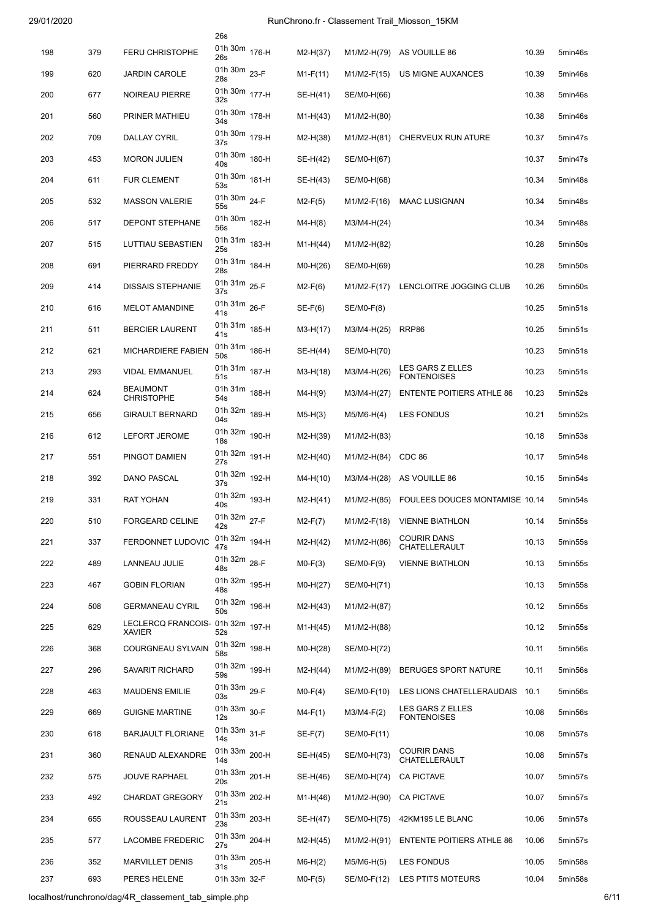|     |     |                                           | 26s                              |            |               |                                        |       |         |
|-----|-----|-------------------------------------------|----------------------------------|------------|---------------|----------------------------------------|-------|---------|
| 198 | 379 | <b>FERU CHRISTOPHE</b>                    | 01h 30m 176-H<br>26s             | $M2-H(37)$ |               | M1/M2-H(79) AS VOUILLE 86              | 10.39 | 5min46s |
| 199 | 620 | <b>JARDIN CAROLE</b>                      | 01h 30m 23-F<br>28s              | $M1-F(11)$ | M1/M2-F(15)   | US MIGNE AUXANCES                      | 10.39 | 5min46s |
| 200 | 677 | <b>NOIREAU PIERRE</b>                     | 01h 30m 177-H<br>32s             | SE-H(41)   | SE/M0-H(66)   |                                        | 10.38 | 5min46s |
| 201 | 560 | PRINER MATHIEU                            | 01h 30m 178-H<br>34s             | $M1-H(43)$ | M1/M2-H(80)   |                                        | 10.38 | 5min46s |
| 202 | 709 | DALLAY CYRIL                              | 01h 30m 179-H<br>37s             | $M2-H(38)$ | M1/M2-H(81)   | CHERVEUX RUN ATURE                     | 10.37 | 5min47s |
| 203 | 453 | <b>MORON JULIEN</b>                       | 01h 30m 180-H<br>40s             | SE-H(42)   | SE/M0-H(67)   |                                        | 10.37 | 5min47s |
| 204 | 611 | <b>FUR CLEMENT</b>                        | 01h 30m 181-H<br>53s             | SE-H(43)   | SE/M0-H(68)   |                                        | 10.34 | 5min48s |
| 205 | 532 | <b>MASSON VALERIE</b>                     | 01h 30m 24-F<br>55s              | $M2-F(5)$  | M1/M2-F(16)   | <b>MAAC LUSIGNAN</b>                   | 10.34 | 5min48s |
| 206 | 517 | DEPONT STEPHANE                           | 01h 30m 182-H<br>56s             | $M4-H(8)$  | M3/M4-H(24)   |                                        | 10.34 | 5min48s |
| 207 | 515 | LUTTIAU SEBASTIEN                         | 01h 31m 183-H<br>25s             | $M1-H(44)$ | M1/M2-H(82)   |                                        | 10.28 | 5min50s |
| 208 | 691 | PIERRARD FREDDY                           | 01h 31m 184-H<br>28s             | $MO-H(26)$ | SE/M0-H(69)   |                                        | 10.28 | 5min50s |
| 209 | 414 | <b>DISSAIS STEPHANIE</b>                  | 01h 31m 25-F<br>37s              | $M2-F(6)$  | $M1/M2-F(17)$ | LENCLOITRE JOGGING CLUB                | 10.26 | 5min50s |
| 210 | 616 | <b>MELOT AMANDINE</b>                     | 01h 31m 26-F<br>41s              | $SE-F(6)$  | SE/M0-F(8)    |                                        | 10.25 | 5min51s |
| 211 | 511 | <b>BERCIER LAURENT</b>                    | 01h 31m 185-H<br>41s             | $M3-H(17)$ | M3/M4-H(25)   | RRP86                                  | 10.25 | 5min51s |
| 212 | 621 | MICHARDIERE FABIEN                        | 01h 31m 186-H<br>50s             | SE-H(44)   | SE/M0-H(70)   |                                        | 10.23 | 5min51s |
| 213 | 293 | <b>VIDAL EMMANUEL</b>                     | 01h 31m 187-H<br>51s             | $M3-H(18)$ | M3/M4-H(26)   | LES GARS Z ELLES<br><b>FONTENOISES</b> | 10.23 | 5min51s |
| 214 | 624 | <b>BEAUMONT</b><br><b>CHRISTOPHE</b>      | 01h 31m 188-H<br>54s             | M4-H(9)    | M3/M4-H(27)   | <b>ENTENTE POITIERS ATHLE 86</b>       | 10.23 | 5min52s |
| 215 | 656 | <b>GIRAULT BERNARD</b>                    | 01h 32m 189-H<br>04s             | $M5-H(3)$  | $M5/M6-H(4)$  | LES FONDUS                             | 10.21 | 5min52s |
| 216 | 612 | LEFORT JEROME                             | 01h 32m 190-H<br>18 <sub>s</sub> | $M2-H(39)$ | M1/M2-H(83)   |                                        | 10.18 | 5min53s |
| 217 | 551 | PINGOT DAMIEN                             | 01h 32m 191-H<br>27s             | $M2-H(40)$ | M1/M2-H(84)   | CDC 86                                 | 10.17 | 5min54s |
| 218 | 392 | DANO PASCAL                               | 01h 32m 192-H<br>37s             | $M4-H(10)$ |               | M3/M4-H(28) AS VOUILLE 86              | 10.15 | 5min54s |
| 219 | 331 | <b>RAT YOHAN</b>                          | 01h 32m 193-H<br>40s             | $M2-H(41)$ | M1/M2-H(85)   | FOULEES DOUCES MONTAMISE 10.14         |       | 5min54s |
| 220 | 510 | FORGEARD CELINE                           | 01h 32m 27-F<br>42s              | $M2-F(7)$  | M1/M2-F(18)   | <b>VIENNE BIATHLON</b>                 | 10.14 | 5min55s |
| 221 | 337 | FERDONNET LUDOVIC                         | 01h 32m 194-H<br>47s             | $M2-H(42)$ | M1/M2-H(86)   | <b>COURIR DANS</b><br>CHATELLERAULT    | 10.13 | 5min55s |
| 222 | 489 | LANNEAU JULIE                             | 01h 32m 28-F                     | $MO-F(3)$  | SE/M0-F(9)    | <b>VIENNE BIATHLON</b>                 | 10.13 | 5min55s |
| 223 | 467 | <b>GOBIN FLORIAN</b>                      | 48s<br>01h 32m 195-H             | $MO-H(27)$ | SE/M0-H(71)   |                                        | 10.13 | 5min55s |
| 224 | 508 | <b>GERMANEAU CYRIL</b>                    | 48s<br>01h 32m 196-H             | $M2-H(43)$ | M1/M2-H(87)   |                                        | 10.12 | 5min55s |
| 225 | 629 | LECLERCQ FRANCOIS- 01h 32m 197-H          | 50s                              | $M1-H(45)$ | M1/M2-H(88)   |                                        | 10.12 | 5min55s |
| 226 | 368 | <b>XAVIER</b><br><b>COURGNEAU SYLVAIN</b> | 52s<br>01h 32m 198-H             | $MO-H(28)$ | SE/M0-H(72)   |                                        | 10.11 | 5min56s |
| 227 | 296 | SAVARIT RICHARD                           | 58s<br>01h 32m 199-H             | $M2-H(44)$ | M1/M2-H(89)   | <b>BERUGES SPORT NATURE</b>            | 10.11 | 5min56s |
| 228 | 463 | <b>MAUDENS EMILIE</b>                     | 59s<br>01h 33m 29-F              | $MO-F(4)$  | SE/M0-F(10)   | LES LIONS CHATELLERAUDAIS              | 10.1  | 5min56s |
| 229 | 669 | <b>GUIGNE MARTINE</b>                     | 03s<br>01h 33m 30-F              | $M4-F(1)$  | $M3/M4-F(2)$  | LES GARS Z ELLES                       | 10.08 | 5min56s |
| 230 | 618 | <b>BARJAULT FLORIANE</b>                  | 12s<br>01h 33m 31-F              | $SE-F(7)$  | SE/M0-F(11)   | <b>FONTENOISES</b>                     | 10.08 | 5min57s |
|     |     |                                           | 14s<br>01h 33m 200-H             |            |               | <b>COURIR DANS</b>                     |       |         |
| 231 | 360 | RENAUD ALEXANDRE                          | 14s<br>01h 33m 201-H             | SE-H(45)   | SE/M0-H(73)   | CHATELLERAULT                          | 10.08 | 5min57s |
| 232 | 575 | <b>JOUVE RAPHAEL</b>                      | 20s<br>01h 33m 202-H             | SE-H(46)   | SE/M0-H(74)   | <b>CA PICTAVE</b>                      | 10.07 | 5min57s |
| 233 | 492 | <b>CHARDAT GREGORY</b>                    | 21s                              | $M1-H(46)$ | M1/M2-H(90)   | <b>CA PICTAVE</b>                      | 10.07 | 5min57s |
| 234 | 655 | ROUSSEAU LAURENT                          | 01h 33m 203-H<br>23s             | SE-H(47)   | SE/M0-H(75)   | 42KM195 LE BLANC                       | 10.06 | 5min57s |
| 235 | 577 | <b>LACOMBE FREDERIC</b>                   | 01h 33m 204-H<br>27s             | $M2-H(45)$ | M1/M2-H(91)   | <b>ENTENTE POITIERS ATHLE 86</b>       | 10.06 | 5min57s |
| 236 | 352 | <b>MARVILLET DENIS</b>                    | 01h 33m 205-H<br>31s             | $M6-H(2)$  | M5/M6-H(5)    | <b>LES FONDUS</b>                      | 10.05 | 5min58s |
| 237 | 693 | PERES HELENE                              | 01h 33m 32-F                     | $MO-F(5)$  | SE/M0-F(12)   | LES PTITS MOTEURS                      | 10.04 | 5min58s |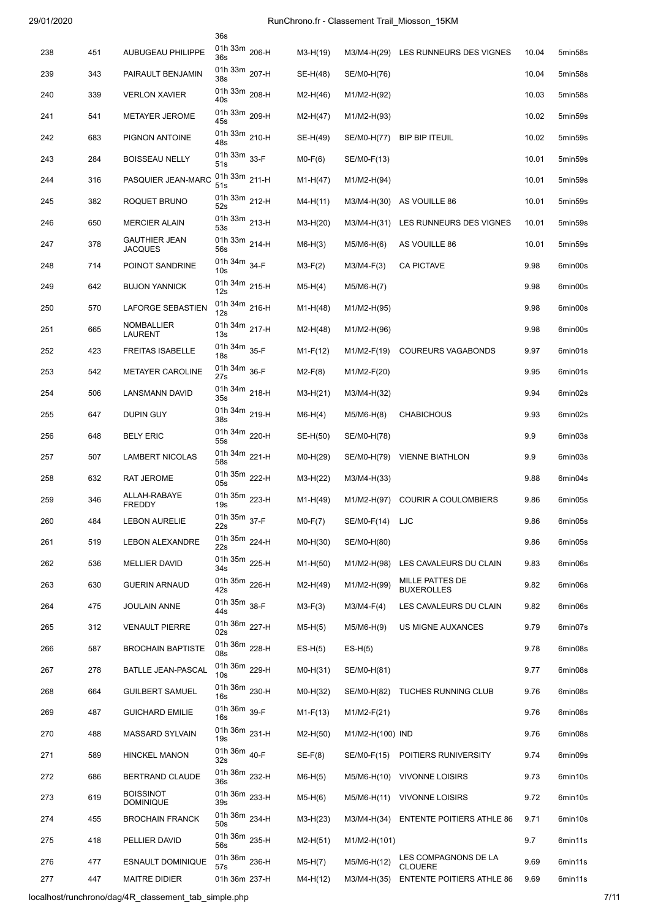|     |     |                                        | 36s                              |            |                  |                                        |       |         |
|-----|-----|----------------------------------------|----------------------------------|------------|------------------|----------------------------------------|-------|---------|
| 238 | 451 | <b>AUBUGEAU PHILIPPE</b>               | 01h 33m 206-H<br>36s             | M3-H(19)   |                  | M3/M4-H(29) LES RUNNEURS DES VIGNES    | 10.04 | 5min58s |
| 239 | 343 | PAIRAULT BENJAMIN                      | 01h 33m 207-H<br>38s             | SE-H(48)   | SE/M0-H(76)      |                                        | 10.04 | 5min58s |
| 240 | 339 | <b>VERLON XAVIER</b>                   | 01h 33m 208-H<br>40s             | $M2-H(46)$ | M1/M2-H(92)      |                                        | 10.03 | 5min58s |
| 241 | 541 | <b>METAYER JEROME</b>                  | 01h 33m 209-H<br>45s             | $M2-H(47)$ | M1/M2-H(93)      |                                        | 10.02 | 5min59s |
| 242 | 683 | PIGNON ANTOINE                         | 01h 33m 210-H<br>48s             | SE-H(49)   | SE/M0-H(77)      | <b>BIP BIP ITEUIL</b>                  | 10.02 | 5min59s |
| 243 | 284 | <b>BOISSEAU NELLY</b>                  | 01h 33m 33-F<br>51s              | $MO-F(6)$  | SE/M0-F(13)      |                                        | 10.01 | 5min59s |
| 244 | 316 | PASQUIER JEAN-MARC                     | 01h 33m 211-H<br>51s             | $M1-H(47)$ | M1/M2-H(94)      |                                        | 10.01 | 5min59s |
| 245 | 382 | ROQUET BRUNO                           | 01h 33m 212-H<br>52s             | $M4-H(11)$ | M3/M4-H(30)      | AS VOUILLE 86                          | 10.01 | 5min59s |
| 246 | 650 | <b>MERCIER ALAIN</b>                   | 01h 33m 213-H<br>53s             | $M3-H(20)$ | M3/M4-H(31)      | LES RUNNEURS DES VIGNES                | 10.01 | 5min59s |
| 247 | 378 | <b>GAUTHIER JEAN</b><br><b>JACQUES</b> | 01h 33m 214-H<br>56s             | $M6-H(3)$  | M5/M6-H(6)       | AS VOUILLE 86                          | 10.01 | 5min59s |
| 248 | 714 | POINOT SANDRINE                        | 01h 34m 34-F<br>10 <sub>s</sub>  | $M3-F(2)$  | $M3/M4-F(3)$     | <b>CA PICTAVE</b>                      | 9.98  | 6min00s |
| 249 | 642 | <b>BUJON YANNICK</b>                   | 01h 34m 215-H<br>12s             | $M5-H(4)$  | M5/M6-H(7)       |                                        | 9.98  | 6min00s |
| 250 | 570 | LAFORGE SEBASTIEN                      | 01h 34m 216-H<br>12s             | $M1-H(48)$ | M1/M2-H(95)      |                                        | 9.98  | 6min00s |
| 251 | 665 | <b>NOMBALLIER</b><br><b>LAURENT</b>    | 01h 34m 217-H<br>13s             | $M2-H(48)$ | M1/M2-H(96)      |                                        | 9.98  | 6min00s |
| 252 | 423 | <b>FREITAS ISABELLE</b>                | 01h 34m 35-F<br>18 <sub>s</sub>  | $M1-F(12)$ | M1/M2-F(19)      | <b>COUREURS VAGABONDS</b>              | 9.97  | 6min01s |
| 253 | 542 | <b>METAYER CAROLINE</b>                | 01h 34m 36-F<br>27s              | $M2-F(8)$  | M1/M2-F(20)      |                                        | 9.95  | 6min01s |
| 254 | 506 | <b>LANSMANN DAVID</b>                  | 01h 34m 218-H<br>35s             | $M3-H(21)$ | M3/M4-H(32)      |                                        | 9.94  | 6min02s |
| 255 | 647 | <b>DUPIN GUY</b>                       | 01h 34m 219-H<br>38s             | $M6-H(4)$  | $M5/M6-H(8)$     | <b>CHABICHOUS</b>                      | 9.93  | 6min02s |
| 256 | 648 | <b>BELY ERIC</b>                       | 01h 34m 220-H<br>55s             | SE-H(50)   | SE/M0-H(78)      |                                        | 9.9   | 6min03s |
| 257 | 507 | <b>LAMBERT NICOLAS</b>                 | 01h 34m 221-H<br>58s             | $MO-H(29)$ | SE/M0-H(79)      | <b>VIENNE BIATHLON</b>                 | 9.9   | 6min03s |
| 258 | 632 | RAT JEROME                             | 01h 35m 222-H<br>05s             | M3-H(22)   | M3/M4-H(33)      |                                        | 9.88  | 6min04s |
| 259 | 346 | ALLAH-RABAYE<br><b>FREDDY</b>          | 01h 35m 223-H<br>19s             | $M1-H(49)$ |                  | M1/M2-H(97) COURIR A COULOMBIERS       | 9.86  | 6min05s |
| 260 | 484 | <b>LEBON AURELIE</b>                   | 01h 35m 37-F<br>22s              | $MO-F(7)$  | SE/M0-F(14) LJC  |                                        | 9.86  | 6min05s |
| 261 | 519 | <b>LEBON ALEXANDRE</b>                 | 01h 35m 224-H<br>22s             | $MO-H(30)$ | SE/M0-H(80)      |                                        | 9.86  | 6min05s |
| 262 | 536 | <b>MELLIER DAVID</b>                   | 01h 35m 225-H<br>34s             | $M1-H(50)$ | M1/M2-H(98)      | LES CAVALEURS DU CLAIN                 | 9.83  | 6min06s |
| 263 | 630 | <b>GUERIN ARNAUD</b>                   | 01h 35m 226-H<br>42s             | $M2-H(49)$ | M1/M2-H(99)      | MILLE PATTES DE<br><b>BUXEROLLES</b>   | 9.82  | 6min06s |
| 264 | 475 | <b>JOULAIN ANNE</b>                    | 01h 35m 38-F<br>44s              | $M3-F(3)$  | $M3/M4-F(4)$     | LES CAVALEURS DU CLAIN                 | 9.82  | 6min06s |
| 265 | 312 | <b>VENAULT PIERRE</b>                  | 01h 36m 227-H<br>02s             | $M5-H(5)$  | $M5/M6-H(9)$     | US MIGNE AUXANCES                      | 9.79  | 6min07s |
| 266 | 587 | <b>BROCHAIN BAPTISTE</b>               | 01h 36m 228-H<br>08s             | $ES-H(5)$  | $ES-H(5)$        |                                        | 9.78  | 6min08s |
| 267 | 278 | <b>BATLLE JEAN-PASCAL</b>              | 01h 36m 229-H<br>10 <sub>s</sub> | $MO-H(31)$ | SE/M0-H(81)      |                                        | 9.77  | 6min08s |
| 268 | 664 | <b>GUILBERT SAMUEL</b>                 | 01h 36m 230-H<br>16s             | $MO-H(32)$ | SE/M0-H(82)      | TUCHES RUNNING CLUB                    | 9.76  | 6min08s |
| 269 | 487 | <b>GUICHARD EMILIE</b>                 | 01h 36m 39-F<br>16s              | $M1-F(13)$ | M1/M2-F(21)      |                                        | 9.76  | 6min08s |
| 270 | 488 | MASSARD SYLVAIN                        | 01h 36m 231-H<br>19s             | $M2-H(50)$ | M1/M2-H(100) IND |                                        | 9.76  | 6min08s |
| 271 | 589 | <b>HINCKEL MANON</b>                   | 01h 36m 40-F<br>32s              | $SE-F(8)$  | SE/M0-F(15)      | POITIERS RUNIVERSITY                   | 9.74  | 6min09s |
| 272 | 686 | BERTRAND CLAUDE                        | 01h 36m 232-H<br>36s             | $M6-H(5)$  |                  | M5/M6-H(10) VIVONNE LOISIRS            | 9.73  | 6min10s |
| 273 | 619 | <b>BOISSINOT</b><br><b>DOMINIQUE</b>   | 01h 36m 233-H<br>39s             | $M5-H(6)$  | M5/M6-H(11)      | <b>VIVONNE LOISIRS</b>                 | 9.72  | 6min10s |
| 274 | 455 | <b>BROCHAIN FRANCK</b>                 | 01h 36m 234-H<br>50s             | $M3-H(23)$ |                  | M3/M4-H(34) ENTENTE POITIERS ATHLE 86  | 9.71  | 6min10s |
| 275 | 418 | PELLIER DAVID                          | 01h 36m 235-H<br>56s             | $M2-H(51)$ | M1/M2-H(101)     |                                        | 9.7   | 6min11s |
| 276 | 477 | <b>ESNAULT DOMINIQUE</b>               | 01h 36m 236-H<br>57s             | $M5-H(7)$  | M5/M6-H(12)      | LES COMPAGNONS DE LA<br><b>CLOUERE</b> | 9.69  | 6min11s |
| 277 | 447 | <b>MAITRE DIDIER</b>                   | 01h 36m 237-H                    | M4-H(12)   | M3/M4-H(35)      | <b>ENTENTE POITIERS ATHLE 86</b>       | 9.69  | 6min11s |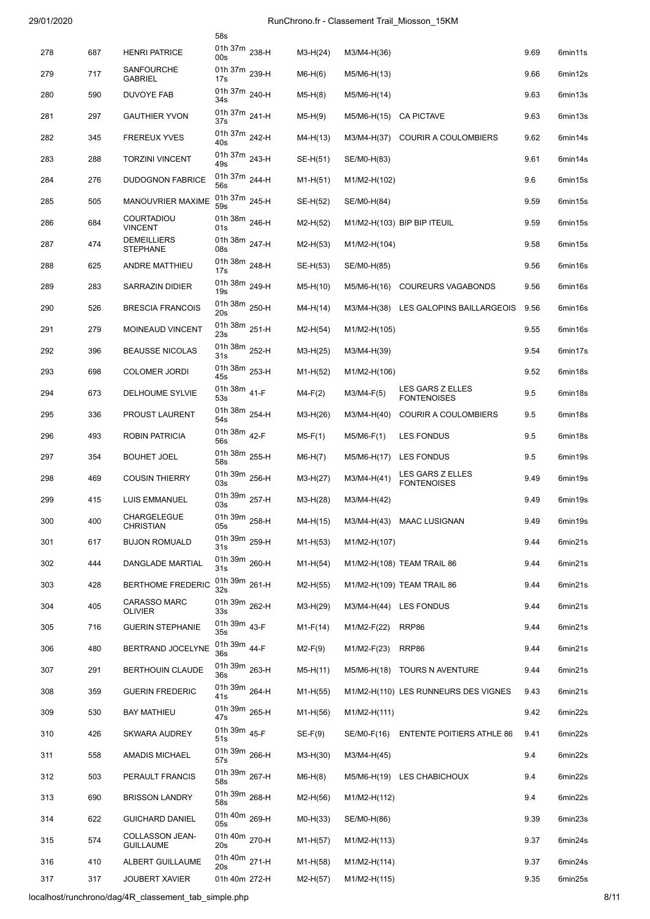|     |     |                                           | 58s                  |            |              |                                        |      |         |
|-----|-----|-------------------------------------------|----------------------|------------|--------------|----------------------------------------|------|---------|
| 278 | 687 | <b>HENRI PATRICE</b>                      | 01h 37m 238-H<br>00s | $M3-H(24)$ | M3/M4-H(36)  |                                        | 9.69 | 6min11s |
| 279 | 717 | SANFOURCHE<br><b>GABRIEL</b>              | 01h 37m 239-H<br>17s | $M6-H(6)$  | M5/M6-H(13)  |                                        | 9.66 | 6min12s |
| 280 | 590 | <b>DUVOYE FAB</b>                         | 01h 37m 240-H<br>34s | $M5-H(8)$  | M5/M6-H(14)  |                                        | 9.63 | 6min13s |
| 281 | 297 | <b>GAUTHIER YVON</b>                      | 01h 37m 241-H<br>37s | $M5-H(9)$  | M5/M6-H(15)  | <b>CA PICTAVE</b>                      | 9.63 | 6min13s |
| 282 | 345 | <b>FREREUX YVES</b>                       | 01h 37m 242-H<br>40s | $M4-H(13)$ | M3/M4-H(37)  | <b>COURIR A COULOMBIERS</b>            | 9.62 | 6min14s |
| 283 | 288 | <b>TORZINI VINCENT</b>                    | 01h 37m 243-H<br>49s | SE-H(51)   | SE/M0-H(83)  |                                        | 9.61 | 6min14s |
| 284 | 276 | <b>DUDOGNON FABRICE</b>                   | 01h 37m 244-H<br>56s | $M1-H(51)$ | M1/M2-H(102) |                                        | 9.6  | 6min15s |
| 285 | 505 | MANOUVRIER MAXIME                         | 01h 37m 245-H<br>59s | SE-H(52)   | SE/M0-H(84)  |                                        | 9.59 | 6min15s |
| 286 | 684 | COURTADIOU<br><b>VINCENT</b>              | 01h 38m 246-H<br>01s | $M2-H(52)$ |              | M1/M2-H(103) BIP BIP ITEUIL            | 9.59 | 6min15s |
| 287 | 474 | <b>DEMEILLIERS</b><br><b>STEPHANE</b>     | 01h 38m 247-H<br>08s | $M2-H(53)$ | M1/M2-H(104) |                                        | 9.58 | 6min15s |
| 288 | 625 | ANDRE MATTHIEU                            | 01h 38m 248-H<br>17s | SE-H(53)   | SE/M0-H(85)  |                                        | 9.56 | 6min16s |
| 289 | 283 | <b>SARRAZIN DIDIER</b>                    | 01h 38m 249-H<br>19s | $M5-H(10)$ | M5/M6-H(16)  | <b>COUREURS VAGABONDS</b>              | 9.56 | 6min16s |
| 290 | 526 | <b>BRESCIA FRANCOIS</b>                   | 01h 38m 250-H<br>20s | $M4-H(14)$ |              | M3/M4-H(38) LES GALOPINS BAILLARGEOIS  | 9.56 | 6min16s |
| 291 | 279 | MOINEAUD VINCENT                          | 01h 38m 251-H<br>23s | $M2-H(54)$ | M1/M2-H(105) |                                        | 9.55 | 6min16s |
| 292 | 396 | <b>BEAUSSE NICOLAS</b>                    | 01h 38m 252-H<br>31s | $M3-H(25)$ | M3/M4-H(39)  |                                        | 9.54 | 6min17s |
| 293 | 698 | <b>COLOMER JORDI</b>                      | 01h 38m 253-H<br>45s | $M1-H(52)$ | M1/M2-H(106) |                                        | 9.52 | 6min18s |
| 294 | 673 | DELHOUME SYLVIE                           | 01h 38m 41-F<br>53s  | $M4-F(2)$  | $M3/M4-F(5)$ | LES GARS Z ELLES<br><b>FONTENOISES</b> | 9.5  | 6min18s |
| 295 | 336 | PROUST LAURENT                            | 01h 38m 254-H<br>54s | $M3-H(26)$ | M3/M4-H(40)  | <b>COURIR A COULOMBIERS</b>            | 9.5  | 6min18s |
| 296 | 493 | <b>ROBIN PATRICIA</b>                     | 01h 38m 42-F<br>56s  | $M5-F(1)$  | $M5/M6-F(1)$ | <b>LES FONDUS</b>                      | 9.5  | 6min18s |
| 297 | 354 | <b>BOUHET JOEL</b>                        | 01h 38m 255-H<br>58s | $M6-H(7)$  | M5/M6-H(17)  | LES FONDUS                             | 9.5  | 6min19s |
| 298 | 469 | <b>COUSIN THIERRY</b>                     | 01h 39m 256-H<br>03s | $M3-H(27)$ | M3/M4-H(41)  | LES GARS Z ELLES<br><b>FONTENOISES</b> | 9.49 | 6min19s |
| 299 | 415 | <b>LUIS EMMANUEL</b>                      | 01h 39m 257-H<br>03s | $M3-H(28)$ | M3/M4-H(42)  |                                        | 9.49 | 6min19s |
| 300 | 400 | CHARGELEGUE<br><b>CHRISTIAN</b>           | 01h 39m 258-H<br>05s | M4-H(15)   |              | M3/M4-H(43) MAAC LUSIGNAN              | 9.49 | 6min19s |
| 301 | 617 | <b>BUJON ROMUALD</b>                      | 01h 39m 259-H<br>31s | $M1-H(53)$ | M1/M2-H(107) |                                        | 9.44 | 6min21s |
| 302 | 444 | DANGLADE MARTIAL                          | 01h 39m 260-H<br>31s | $M1-H(54)$ |              | M1/M2-H(108) TEAM TRAIL 86             | 9.44 | 6min21s |
| 303 | 428 | <b>BERTHOME FREDERIC</b>                  | 01h 39m 261-H        | $M2-H(55)$ |              | M1/M2-H(109) TEAM TRAIL 86             | 9.44 | 6min21s |
| 304 | 405 | <b>CARASSO MARC</b>                       | 32s<br>01h 39m 262-H | $M3-H(29)$ |              | M3/M4-H(44) LES FONDUS                 | 9.44 | 6min21s |
| 305 | 716 | <b>OLIVIER</b><br><b>GUERIN STEPHANIE</b> | 33s<br>01h 39m 43-F  | $M1-F(14)$ | M1/M2-F(22)  | RRP86                                  | 9.44 | 6min21s |
| 306 | 480 | BERTRAND JOCELYNE                         | 35s<br>01h 39m 44-F  | $M2-F(9)$  | M1/M2-F(23)  | RRP86                                  | 9.44 | 6min21s |
| 307 | 291 | <b>BERTHOUIN CLAUDE</b>                   | 36s<br>01h 39m 263-H | M5-H(11)   |              | M5/M6-H(18) TOURS N AVENTURE           | 9.44 | 6min21s |
| 308 | 359 | <b>GUERIN FREDERIC</b>                    | 36s<br>01h 39m 264-H | $M1-H(55)$ |              | M1/M2-H(110) LES RUNNEURS DES VIGNES   | 9.43 | 6min21s |
| 309 | 530 | <b>BAY MATHIEU</b>                        | 41s<br>01h 39m 265-H | M1-H(56)   | M1/M2-H(111) |                                        | 9.42 | 6min22s |
| 310 | 426 | <b>SKWARA AUDREY</b>                      | 47s<br>01h 39m 45-F  | $SE-F(9)$  |              | SE/M0-F(16) ENTENTE POITIERS ATHLE 86  | 9.41 | 6min22s |
|     |     |                                           | 51s<br>01h 39m 266-H |            |              |                                        |      |         |
| 311 | 558 | AMADIS MICHAEL                            | 57s<br>01h 39m 267-H | $M3-H(30)$ | M3/M4-H(45)  |                                        | 9.4  | 6min22s |
| 312 | 503 | PERAULT FRANCIS                           | 58s<br>01h 39m 268-H | $M6-H(8)$  |              | M5/M6-H(19) LES CHABICHOUX             | 9.4  | 6min22s |
| 313 | 690 | <b>BRISSON LANDRY</b>                     | 58s                  | $M2-H(56)$ | M1/M2-H(112) |                                        | 9.4  | 6min22s |
| 314 | 622 | <b>GUICHARD DANIEL</b>                    | 01h 40m 269-H<br>05s | $MO-H(33)$ | SE/M0-H(86)  |                                        | 9.39 | 6min23s |
| 315 | 574 | COLLASSON JEAN-<br><b>GUILLAUME</b>       | 01h 40m 270-H<br>20s | $M1-H(57)$ | M1/M2-H(113) |                                        | 9.37 | 6min24s |
| 316 | 410 | ALBERT GUILLAUME                          | 01h 40m 271-H<br>20s | $M1-H(58)$ | M1/M2-H(114) |                                        | 9.37 | 6min24s |
| 317 | 317 | <b>JOUBERT XAVIER</b>                     | 01h 40m 272-H        | M2-H(57)   | M1/M2-H(115) |                                        | 9.35 | 6min25s |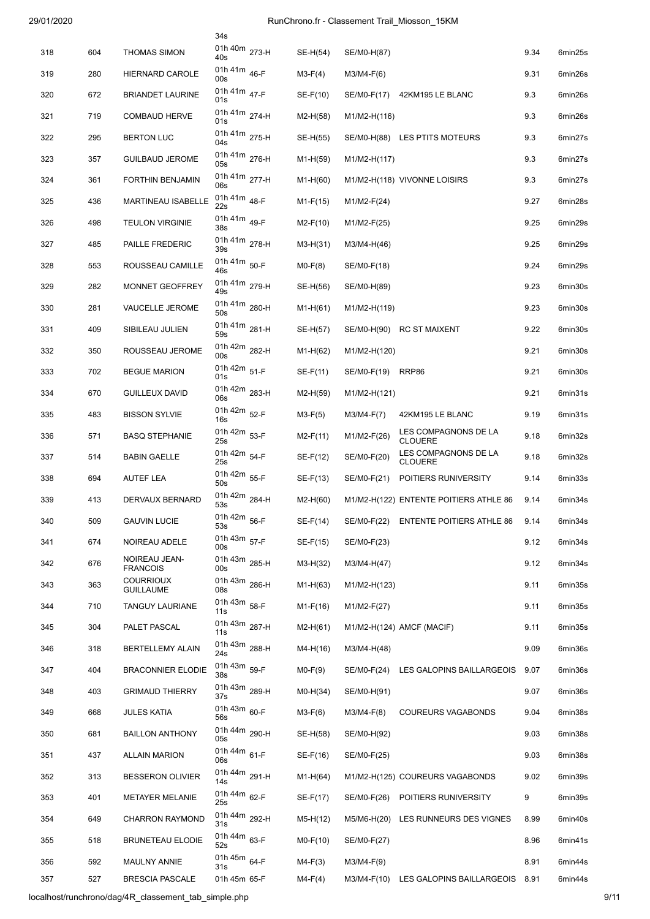|     |     |                                      | 34s                            |            |               |                                            |      |         |
|-----|-----|--------------------------------------|--------------------------------|------------|---------------|--------------------------------------------|------|---------|
| 318 | 604 | <b>THOMAS SIMON</b>                  | 01h 40m 273-H<br>40s           | SE-H(54)   | SE/M0-H(87)   |                                            | 9.34 | 6min25s |
| 319 | 280 | <b>HIERNARD CAROLE</b>               | 01h 41m 46-F<br>00s            | $M3-F(4)$  | $M3/M4-F(6)$  |                                            | 9.31 | 6min26s |
| 320 | 672 | <b>BRIANDET LAURINE</b>              | 01h 41m 47-F<br>01s            | $SE-F(10)$ | SE/M0-F(17)   | 42KM195 LE BLANC                           | 9.3  | 6min26s |
| 321 | 719 | <b>COMBAUD HERVE</b>                 | 01h 41m 274-H<br>01s           | $M2-H(58)$ | M1/M2-H(116)  |                                            | 9.3  | 6min26s |
| 322 | 295 | <b>BERTON LUC</b>                    | 01h 41m 275-H<br>04s           | SE-H(55)   |               | SE/M0-H(88) LES PTITS MOTEURS              | 9.3  | 6min27s |
| 323 | 357 | <b>GUILBAUD JEROME</b>               | 01h 41m 276-H<br>05s           | $M1-H(59)$ | M1/M2-H(117)  |                                            | 9.3  | 6min27s |
| 324 | 361 | <b>FORTHIN BENJAMIN</b>              | 01h 41m 277-H<br>06s           | $M1-H(60)$ |               | M1/M2-H(118) VIVONNE LOISIRS               | 9.3  | 6min27s |
| 325 | 436 | MARTINEAU ISABELLE                   | 01h 41m 48-F<br>22s            | $M1-F(15)$ | $M1/M2-F(24)$ |                                            | 9.27 | 6min28s |
| 326 | 498 | <b>TEULON VIRGINIE</b>               | 01h 41m <sub>49-F</sub><br>38s | $M2-F(10)$ | $M1/M2-F(25)$ |                                            | 9.25 | 6min29s |
| 327 | 485 | PAILLE FREDERIC                      | 01h 41m 278-H<br>39s           | $M3-H(31)$ | M3/M4-H(46)   |                                            | 9.25 | 6min29s |
| 328 | 553 | ROUSSEAU CAMILLE                     | 01h 41m 50-F<br>46s            | $MO-F(8)$  | SE/M0-F(18)   |                                            | 9.24 | 6min29s |
| 329 | 282 | MONNET GEOFFREY                      | 01h 41m 279-H<br>49s           | SE-H(56)   | SE/M0-H(89)   |                                            | 9.23 | 6min30s |
| 330 | 281 | <b>VAUCELLE JEROME</b>               | 01h 41m 280-H<br>50s           | $M1-H(61)$ | M1/M2-H(119)  |                                            | 9.23 | 6min30s |
| 331 | 409 | SIBILEAU JULIEN                      | 01h 41m 281-H<br>59s           | SE-H(57)   | SE/M0-H(90)   | <b>RC ST MAIXENT</b>                       | 9.22 | 6min30s |
| 332 | 350 | ROUSSEAU JEROME                      | 01h 42m 282-H<br>00s           | $M1-H(62)$ | M1/M2-H(120)  |                                            | 9.21 | 6min30s |
| 333 | 702 | <b>BEGUE MARION</b>                  | 01h 42m 51-F<br>01s            | SE-F(11)   | SE/M0-F(19)   | RRP86                                      | 9.21 | 6min30s |
| 334 | 670 | <b>GUILLEUX DAVID</b>                | 01h 42m 283-H<br>06s           | $M2-H(59)$ | M1/M2-H(121)  |                                            | 9.21 | 6min31s |
| 335 | 483 | <b>BISSON SYLVIE</b>                 | 01h 42m 52-F<br>16s            | $M3-F(5)$  | $M3/M4-F(7)$  | 42KM195 LE BLANC                           | 9.19 | 6min31s |
| 336 | 571 | <b>BASQ STEPHANIE</b>                | 01h 42m 53-F<br>25s            | $M2-F(11)$ | M1/M2-F(26)   | LES COMPAGNONS DE LA<br><b>CLOUERE</b>     | 9.18 | 6min32s |
| 337 | 514 | <b>BABIN GAELLE</b>                  | 01h 42m 54-F<br>25s            | $SE-F(12)$ | SE/M0-F(20)   | LES COMPAGNONS DE LA<br><b>CLOUERE</b>     | 9.18 | 6min32s |
| 338 | 694 | <b>AUTEF LEA</b>                     | 01h 42m 55-F<br>50s            | $SE-F(13)$ | SE/M0-F(21)   | POITIERS RUNIVERSITY                       | 9.14 | 6min33s |
| 339 | 413 | <b>DERVAUX BERNARD</b>               | 01h 42m 284-H<br>53s           | $M2-H(60)$ |               | M1/M2-H(122) ENTENTE POITIERS ATHLE 86     | 9.14 | 6min34s |
| 340 | 509 | <b>GAUVIN LUCIE</b>                  | 01h 42m 56-F<br>53s            | $SE-F(14)$ |               | SE/M0-F(22) ENTENTE POITIERS ATHLE 86 9.14 |      | 6min34s |
| 341 | 674 | NOIREAU ADELE                        | 01h 43m 57-F<br>00s            | SE-F(15)   | SE/M0-F(23)   |                                            | 9.12 | 6min34s |
| 342 | 676 | NOIREAU JEAN-<br><b>FRANCOIS</b>     | 01h 43m 285-H<br>00s           | $M3-H(32)$ | M3/M4-H(47)   |                                            | 9.12 | 6min34s |
| 343 | 363 | <b>COURRIOUX</b><br><b>GUILLAUME</b> | 01h 43m 286-H<br>08s           | $M1-H(63)$ | M1/M2-H(123)  |                                            | 9.11 | 6min35s |
| 344 | 710 | <b>TANGUY LAURIANE</b>               | 01h 43m 58-F<br>11s            | $M1-F(16)$ | $M1/M2-F(27)$ |                                            | 9.11 | 6min35s |
| 345 | 304 | PALET PASCAL                         | 01h 43m 287-H<br>11s           | $M2-H(61)$ |               | M1/M2-H(124) AMCF (MACIF)                  | 9.11 | 6min35s |
| 346 | 318 | <b>BERTELLEMY ALAIN</b>              | 01h 43m 288-H<br>24s           | M4-H(16)   | M3/M4-H(48)   |                                            | 9.09 | 6min36s |
| 347 | 404 | <b>BRACONNIER ELODIE</b>             | 01h 43m 59-F<br>38s            | $MO-F(9)$  | SE/M0-F(24)   | LES GALOPINS BAILLARGEOIS                  | 9.07 | 6min36s |
| 348 | 403 | <b>GRIMAUD THIERRY</b>               | 01h 43m 289-H<br>37s           | $MO-H(34)$ | SE/M0-H(91)   |                                            | 9.07 | 6min36s |
| 349 | 668 | <b>JULES KATIA</b>                   | 01h 43m 60-F<br>56s            | $M3-F(6)$  | $M3/M4-F(8)$  | <b>COUREURS VAGABONDS</b>                  | 9.04 | 6min38s |
| 350 | 681 | <b>BAILLON ANTHONY</b>               | 01h 44m 290-H<br>05s           | SE-H(58)   | SE/M0-H(92)   |                                            | 9.03 | 6min38s |
| 351 | 437 | <b>ALLAIN MARION</b>                 | 01h 44m 61-F<br>06s            | SE-F(16)   | SE/M0-F(25)   |                                            | 9.03 | 6min38s |
| 352 | 313 | <b>BESSERON OLIVIER</b>              | 01h 44m 291-H<br>14s           | $M1-H(64)$ |               | M1/M2-H(125) COUREURS VAGABONDS            | 9.02 | 6min39s |
| 353 | 401 | <b>METAYER MELANIE</b>               | 01h 44m 62-F<br>25s            | SE-F(17)   | SE/M0-F(26)   | POITIERS RUNIVERSITY                       | 9    | 6min39s |
| 354 | 649 | <b>CHARRON RAYMOND</b>               | 01h 44m 292-H<br>31s           | $M5-H(12)$ | M5/M6-H(20)   | LES RUNNEURS DES VIGNES                    | 8.99 | 6min40s |
| 355 | 518 | <b>BRUNETEAU ELODIE</b>              | 01h 44m 63-F<br>52s            | $MO-F(10)$ | SE/M0-F(27)   |                                            | 8.96 | 6min41s |
| 356 | 592 | <b>MAULNY ANNIE</b>                  | 01h 45m 64-F<br>31s            | $M4-F(3)$  | $M3/M4-F(9)$  |                                            | 8.91 | 6min44s |
| 357 | 527 | <b>BRESCIA PASCALE</b>               | 01h 45m 65-F                   | M4-F(4)    | M3/M4-F(10)   | LES GALOPINS BAILLARGEOIS                  | 8.91 | 6min44s |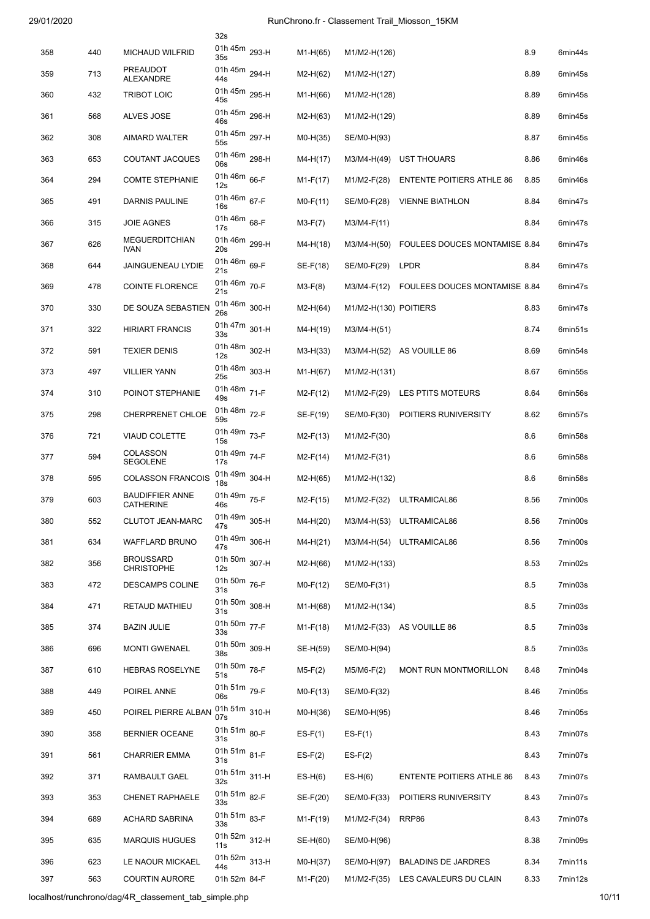|     |     |                                            | 32s                              |            |                       |                                      |      |         |
|-----|-----|--------------------------------------------|----------------------------------|------------|-----------------------|--------------------------------------|------|---------|
| 358 | 440 | <b>MICHAUD WILFRID</b>                     | 01h 45m 293-H<br>35s             | $M1-H(65)$ | M1/M2-H(126)          |                                      | 8.9  | 6min44s |
| 359 | 713 | <b>PREAUDOT</b><br>ALEXANDRE               | 01h 45m 294-H<br>44s             | $M2-H(62)$ | M1/M2-H(127)          |                                      | 8.89 | 6min45s |
| 360 | 432 | <b>TRIBOT LOIC</b>                         | 01h 45m 295-H<br>45s             | $M1-H(66)$ | M1/M2-H(128)          |                                      | 8.89 | 6min45s |
| 361 | 568 | ALVES JOSE                                 | 01h 45m 296-H<br>46s             | $M2-H(63)$ | M1/M2-H(129)          |                                      | 8.89 | 6min45s |
| 362 | 308 | <b>AIMARD WALTER</b>                       | 01h 45m 297-H<br>55s             | $MO-H(35)$ | SE/M0-H(93)           |                                      | 8.87 | 6min45s |
| 363 | 653 | <b>COUTANT JACQUES</b>                     | 01h 46m 298-H<br>06s             | $M4-H(17)$ | M3/M4-H(49)           | <b>UST THOUARS</b>                   | 8.86 | 6min46s |
| 364 | 294 | <b>COMTE STEPHANIE</b>                     | 01h 46m 66-F<br>12s              | $M1-F(17)$ | M1/M2-F(28)           | <b>ENTENTE POITIERS ATHLE 86</b>     | 8.85 | 6min46s |
| 365 | 491 | DARNIS PAULINE                             | 01h 46m 67-F<br>16s              | $MO-F(11)$ | SE/M0-F(28)           | <b>VIENNE BIATHLON</b>               | 8.84 | 6min47s |
| 366 | 315 | <b>JOIE AGNES</b>                          | 01h 46m 68-F<br>17s              | $M3-F(7)$  | M3/M4-F(11)           |                                      | 8.84 | 6min47s |
| 367 | 626 | <b>MEGUERDITCHIAN</b><br><b>IVAN</b>       | 01h 46m 299-H<br>20s             | $M4-H(18)$ | M3/M4-H(50)           | <b>FOULEES DOUCES MONTAMISE 8.84</b> |      | 6min47s |
| 368 | 644 | <b>JAINGUENEAU LYDIE</b>                   | 01h 46m 69-F<br>21s              | $SE-F(18)$ | SE/M0-F(29)           | <b>LPDR</b>                          | 8.84 | 6min47s |
| 369 | 478 | <b>COINTE FLORENCE</b>                     | 01h 46m 70-F<br>21s              | $M3-F(8)$  | M3/M4-F(12)           | <b>FOULEES DOUCES MONTAMISE 8.84</b> |      | 6min47s |
| 370 | 330 | DE SOUZA SEBASTIEN                         | 01h 46m 300-H<br>26s             | $M2-H(64)$ | M1/M2-H(130) POITIERS |                                      | 8.83 | 6min47s |
| 371 | 322 | <b>HIRIART FRANCIS</b>                     | 01h 47m 301-H<br>33s             | M4-H(19)   | M3/M4-H(51)           |                                      | 8.74 | 6min51s |
| 372 | 591 | <b>TEXIER DENIS</b>                        | 01h 48m 302-H<br>12s             | $M3-H(33)$ | M3/M4-H(52)           | AS VOUILLE 86                        | 8.69 | 6min54s |
| 373 | 497 | <b>VILLIER YANN</b>                        | 01h 48m 303-H<br>25s             | $M1-H(67)$ | M1/M2-H(131)          |                                      | 8.67 | 6min55s |
| 374 | 310 | POINOT STEPHANIE                           | 01h 48m 71-F<br>49s              | $M2-F(12)$ | M1/M2-F(29)           | LES PTITS MOTEURS                    | 8.64 | 6min56s |
| 375 | 298 | CHERPRENET CHLOE                           | 01h 48m 72-F<br>59s              | $SE-F(19)$ | SE/M0-F(30)           | POITIERS RUNIVERSITY                 | 8.62 | 6min57s |
| 376 | 721 | <b>VIAUD COLETTE</b>                       | 01h 49m 73-F<br>15s              | $M2-F(13)$ | M1/M2-F(30)           |                                      | 8.6  | 6min58s |
| 377 | 594 | <b>COLASSON</b><br><b>SEGOLENE</b>         | 01h 49m 74-F<br>17s              | $M2-F(14)$ | M1/M2-F(31)           |                                      | 8.6  | 6min58s |
| 378 | 595 | <b>COLASSON FRANCOIS</b>                   | 01h 49m 304-H<br>18 <sub>s</sub> | $M2-H(65)$ | M1/M2-H(132)          |                                      | 8.6  | 6min58s |
| 379 | 603 | <b>BAUDIFFIER ANNE</b><br><b>CATHERINE</b> | 01h 49m 75-F<br>46s              | $M2-F(15)$ | M1/M2-F(32)           | ULTRAMICAL86                         | 8.56 | 7min00s |
| 380 | 552 | <b>CLUTOT JEAN-MARC</b>                    | 01h 49m 305-H<br>47s             | M4-H(20)   |                       | M3/M4-H(53) ULTRAMICAL86             | 8.56 | 7min00s |
| 381 | 634 | WAFFLARD BRUNO                             | 01h 49m 306-H<br>47s             | $M4-H(21)$ |                       | M3/M4-H(54) ULTRAMICAL86             | 8.56 | 7min00s |
| 382 | 356 | <b>BROUSSARD</b><br><b>CHRISTOPHE</b>      | 01h 50m 307-H<br>12s             | M2-H(66)   | M1/M2-H(133)          |                                      | 8.53 | 7min02s |
| 383 | 472 | DESCAMPS COLINE                            | 01h 50m 76-F<br>31s              | $MO-F(12)$ | SE/M0-F(31)           |                                      | 8.5  | 7min03s |
| 384 | 471 | RETAUD MATHIEU                             | 01h 50m 308-H<br>31s             | $M1-H(68)$ | M1/M2-H(134)          |                                      | 8.5  | 7min03s |
| 385 | 374 | <b>BAZIN JULIE</b>                         | 01h 50m 77-F<br>33s              | $M1-F(18)$ |                       | M1/M2-F(33) AS VOUILLE 86            | 8.5  | 7min03s |
| 386 | 696 | <b>MONTI GWENAEL</b>                       | 01h 50m 309-H<br>38s             | SE-H(59)   | SE/M0-H(94)           |                                      | 8.5  | 7min03s |
| 387 | 610 | <b>HEBRAS ROSELYNE</b>                     | 01h 50m 78-F<br>51s              | $M5-F(2)$  | $M5/M6-F(2)$          | MONT RUN MONTMORILLON                | 8.48 | 7min04s |
| 388 | 449 | POIREL ANNE                                | 01h 51m 79-F<br>06s              | $MO-F(13)$ | SE/M0-F(32)           |                                      | 8.46 | 7min05s |
| 389 | 450 | POIREL PIERRE ALBAN                        | 01h 51m 310-H<br>07s             | $MO-H(36)$ | SE/M0-H(95)           |                                      | 8.46 | 7min05s |
| 390 | 358 | <b>BERNIER OCEANE</b>                      | 01h 51m 80-F<br>31s              | $ES-F(1)$  | $ES-F(1)$             |                                      | 8.43 | 7min07s |
| 391 | 561 | <b>CHARRIER EMMA</b>                       | 01h 51m 81-F<br>31s              | $ES-F(2)$  | $ES-F(2)$             |                                      | 8.43 | 7min07s |
| 392 | 371 | RAMBAULT GAEL                              | 01h 51m 311-H<br>32s             | $ES-H(6)$  | $ES-H(6)$             | <b>ENTENTE POITIERS ATHLE 86</b>     | 8.43 | 7min07s |
| 393 | 353 | <b>CHENET RAPHAELE</b>                     | 01h 51m 82-F<br>33s              | SE-F(20)   | SE/M0-F(33)           | POITIERS RUNIVERSITY                 | 8.43 | 7min07s |
| 394 | 689 | <b>ACHARD SABRINA</b>                      | 01h 51m 83-F<br>33s              | $M1-F(19)$ | M1/M2-F(34)           | RRP86                                | 8.43 | 7min07s |
| 395 | 635 | <b>MARQUIS HUGUES</b>                      | 01h 52m 312-H<br>11s             | SE-H(60)   | SE/M0-H(96)           |                                      | 8.38 | 7min09s |
| 396 | 623 | LE NAOUR MICKAEL                           | 01h 52m 313-H<br>44s             | $MO-H(37)$ | SE/M0-H(97)           | <b>BALADINS DE JARDRES</b>           | 8.34 | 7min11s |
| 397 | 563 | <b>COURTIN AURORE</b>                      | 01h 52m 84-F                     | $M1-F(20)$ |                       | M1/M2-F(35) LES CAVALEURS DU CLAIN   | 8.33 | 7min12s |